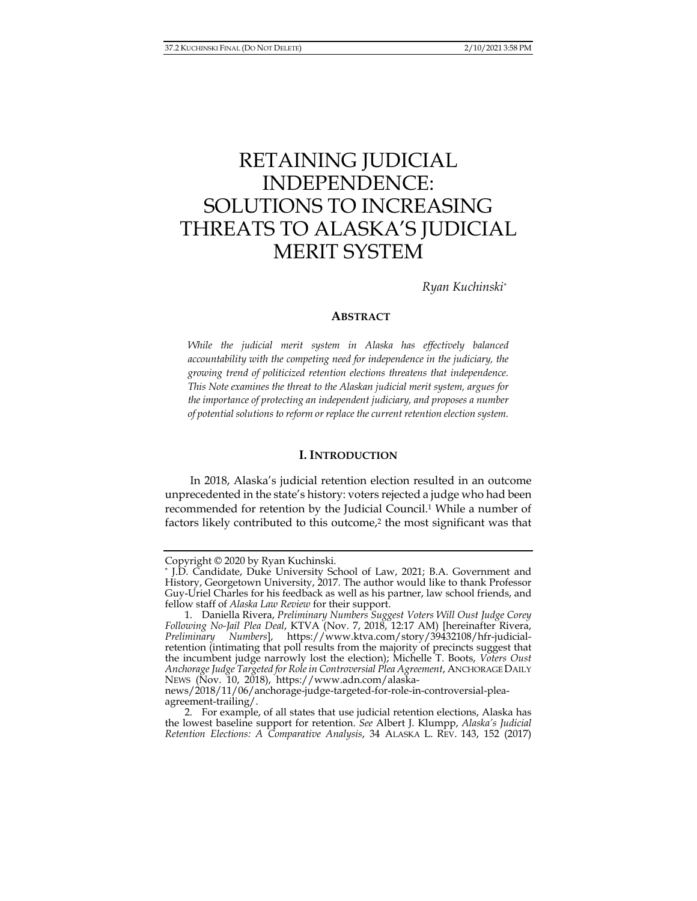# RETAINING JUDICIAL INDEPENDENCE: SOLUTIONS TO INCREASING THREATS TO ALASKA'S JUDICIAL MERIT SYSTEM

*Ryan Kuchinski\**

# **ABSTRACT**

*While the judicial merit system in Alaska has effectively balanced accountability with the competing need for independence in the judiciary, the growing trend of politicized retention elections threatens that independence. This Note examines the threat to the Alaskan judicial merit system, argues for the importance of protecting an independent judiciary, and proposes a number of potential solutions to reform or replace the current retention election system.* 

# **I. INTRODUCTION**

In 2018, Alaska's judicial retention election resulted in an outcome unprecedented in the state's history: voters rejected a judge who had been recommended for retention by the Judicial Council.1 While a number of factors likely contributed to this outcome,<sup>2</sup> the most significant was that

Copyright © 2020 by Ryan Kuchinski.<br>\* J.D. Candidate, Duke University School of Law, 2021; B.A. Government and History, Georgetown University, 2017. The author would like to thank Professor Guy-Uriel Charles for his feedback as well as his partner, law school friends, and fellow staff of *Alaska Law Review* for their support.

 <sup>1.</sup> Daniella Rivera, *Preliminary Numbers Suggest Voters Will Oust Judge Corey Following No-Jail Plea Deal*, KTVA (Nov. 7, 2018, 12:17 AM) [hereinafter Rivera, *Preliminary Numbers*], https://www.ktva.com/story/39432108/hfr-judicialretention (intimating that poll results from the majority of precincts suggest that the incumbent judge narrowly lost the election); Michelle T. Boots, *Voters Oust Anchorage Judge Targeted for Role in Controversial Plea Agreement*, ANCHORAGE DAILY NEWS (Nov. 10, 2018), https://www.adn.com/alaska-

news/2018/11/06/anchorage-judge-targeted-for-role-in-controversial-pleaagreement-trailing/.

 <sup>2.</sup> For example, of all states that use judicial retention elections, Alaska has the lowest baseline support for retention. *See* Albert J. Klumpp, *Alaska's Judicial Retention Elections: A Comparative Analysis*, 34 ALASKA L. REV. 143, 152 (2017)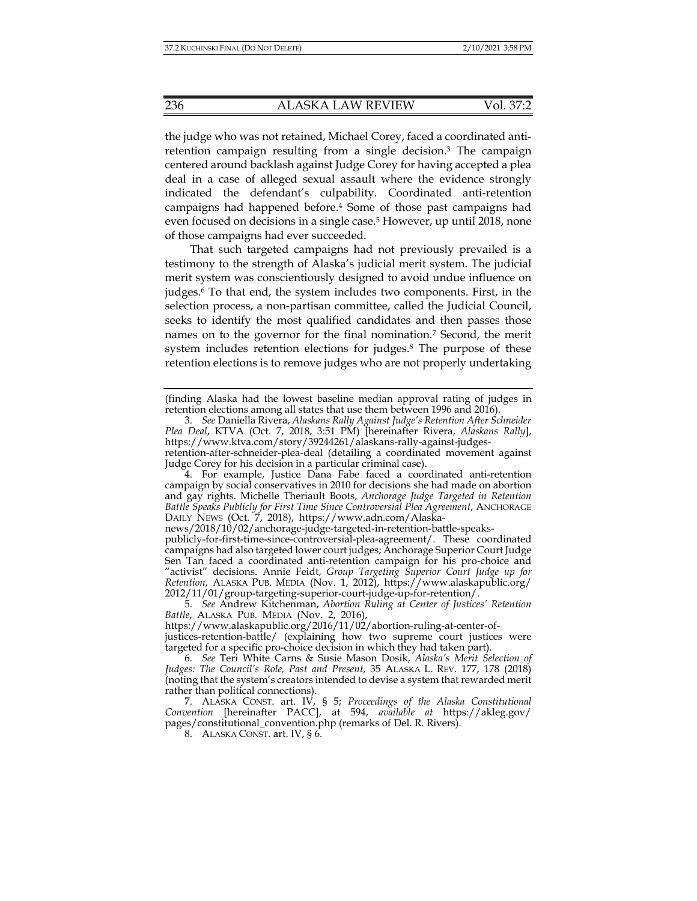the judge who was not retained, Michael Corey, faced a coordinated antiretention campaign resulting from a single decision.3 The campaign centered around backlash against Judge Corey for having accepted a plea deal in a case of alleged sexual assault where the evidence strongly indicated the defendant's culpability. Coordinated anti-retention campaigns had happened before.4 Some of those past campaigns had even focused on decisions in a single case.<sup>5</sup> However, up until 2018, none of those campaigns had ever succeeded.

That such targeted campaigns had not previously prevailed is a testimony to the strength of Alaska's judicial merit system. The judicial merit system was conscientiously designed to avoid undue influence on judges.6 To that end, the system includes two components. First, in the selection process, a non-partisan committee, called the Judicial Council, seeks to identify the most qualified candidates and then passes those names on to the governor for the final nomination.7 Second, the merit system includes retention elections for judges.8 The purpose of these retention elections is to remove judges who are not properly undertaking

(finding Alaska had the lowest baseline median approval rating of judges in retention elections among all states that use them between 1996 and 2016).

 4. For example, Justice Dana Fabe faced a coordinated anti-retention campaign by social conservatives in 2010 for decisions she had made on abortion and gay rights. Michelle Theriault Boots, *Anchorage Judge Targeted in Retention Battle Speaks Publicly for First Time Since Controversial Plea Agreement*, ANCHORAGE DAILY NEWS (Oct. 7, 2018), https://www.adn.com/Alaska-

news/2018/10/02/anchorage-judge-targeted-in-retention-battle-speaks-

 <sup>3.</sup> *See* Daniella Rivera, *Alaskans Rally Against Judge's Retention After Schneider Plea Deal*, KTVA (Oct. 7, 2018, 3:51 PM) [hereinafter Rivera, *Alaskans Rally*], https://www.ktva.com/story/39244261/alaskans-rally-against-judges-

retention-after-schneider-plea-deal (detailing a coordinated movement against Judge Corey for his decision in a particular criminal case).

publicly-for-first-time-since-controversial-plea-agreement/. These coordinated campaigns had also targeted lower court judges; Anchorage Superior Court Judge Sen Tan faced a coordinated anti-retention campaign for his pro-choice and "activist" decisions. Annie Feidt, *Group Targeting Superior Court Judge up for Retention*, ALASKA PUB. MEDIA (Nov. 1, 2012), https://www.alaskapublic.org/ 2012/11/01/group-targeting-superior-court-judge-up-for-retention/.

 <sup>5.</sup> *See* Andrew Kitchenman, *Abortion Ruling at Center of Justices' Retention*  Battle, ALASKA PUB. MEDIA (Nov. 2, 2016),

https://www.alaskapublic.org/2016/11/02/abortion-ruling-at-center-of-

justices-retention-battle/ (explaining how two supreme court justices were targeted for a specific pro-choice decision in which they had taken part).

 <sup>6.</sup> *See* Teri White Carns & Susie Mason Dosik, *Alaska's Merit Selection of Judges: The Council's Role, Past and Present*, 35 ALASKA L. REV. 177, 178 (2018) (noting that the system's creators intended to devise a system that rewarded merit rather than political connections).

 <sup>7.</sup> ALASKA CONST. art. IV, § 5; *Proceedings of the Alaska Constitutional Convention* [hereinafter PACC], at 594, *available at* https://akleg.gov/ pages/constitutional\_convention.php (remarks of Del. R. Rivers).

 <sup>8.</sup> ALASKA CONST. art. IV, § 6.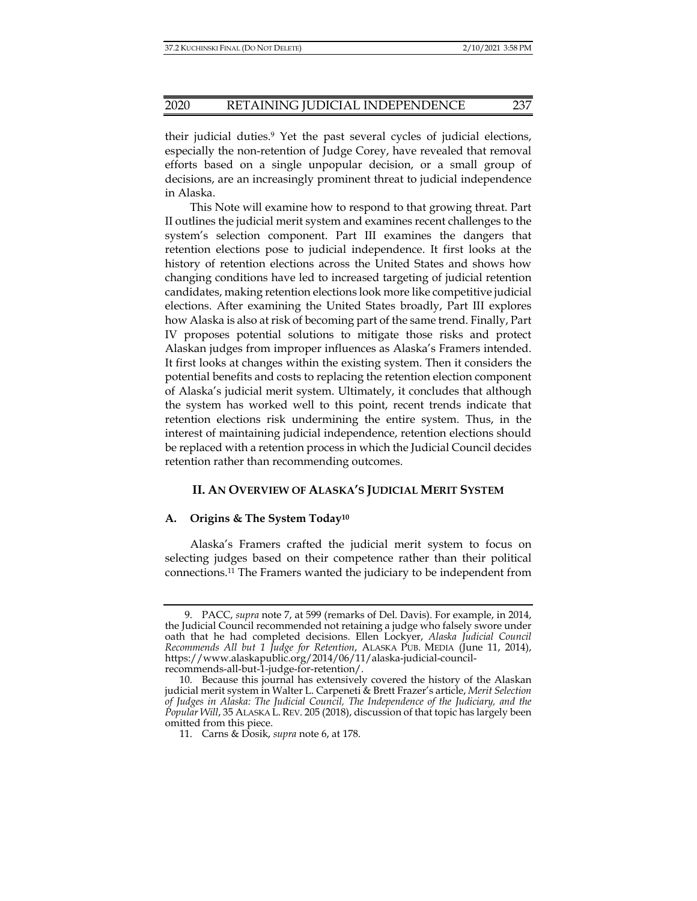their judicial duties.9 Yet the past several cycles of judicial elections, especially the non-retention of Judge Corey, have revealed that removal efforts based on a single unpopular decision, or a small group of decisions, are an increasingly prominent threat to judicial independence in Alaska.

This Note will examine how to respond to that growing threat. Part II outlines the judicial merit system and examines recent challenges to the system's selection component. Part III examines the dangers that retention elections pose to judicial independence. It first looks at the history of retention elections across the United States and shows how changing conditions have led to increased targeting of judicial retention candidates, making retention elections look more like competitive judicial elections. After examining the United States broadly, Part III explores how Alaska is also at risk of becoming part of the same trend. Finally, Part IV proposes potential solutions to mitigate those risks and protect Alaskan judges from improper influences as Alaska's Framers intended. It first looks at changes within the existing system. Then it considers the potential benefits and costs to replacing the retention election component of Alaska's judicial merit system. Ultimately, it concludes that although the system has worked well to this point, recent trends indicate that retention elections risk undermining the entire system. Thus, in the interest of maintaining judicial independence, retention elections should be replaced with a retention process in which the Judicial Council decides retention rather than recommending outcomes.

# **II. AN OVERVIEW OF ALASKA'S JUDICIAL MERIT SYSTEM**

## **A. Origins & The System Today10**

Alaska's Framers crafted the judicial merit system to focus on selecting judges based on their competence rather than their political connections.11 The Framers wanted the judiciary to be independent from

 <sup>9.</sup> PACC, *supra* note 7, at 599 (remarks of Del. Davis). For example, in 2014, the Judicial Council recommended not retaining a judge who falsely swore under oath that he had completed decisions. Ellen Lockyer, *Alaska Judicial Council Recommends All but 1 Judge for Retention*, ALASKA PUB. MEDIA (June 11, 2014), https://www.alaskapublic.org/2014/06/11/alaska-judicial-councilrecommends-all-but-1-judge-for-retention/.

 <sup>10.</sup> Because this journal has extensively covered the history of the Alaskan judicial merit system in Walter L. Carpeneti & Brett Frazer's article, *Merit Selection of Judges in Alaska: The Judicial Council, The Independence of the Judiciary, and the Popular Will*, 35 ALASKA L. REV. 205 (2018), discussion of that topic has largely been omitted from this piece.

 <sup>11.</sup> Carns & Dosik, *supra* note 6, at 178.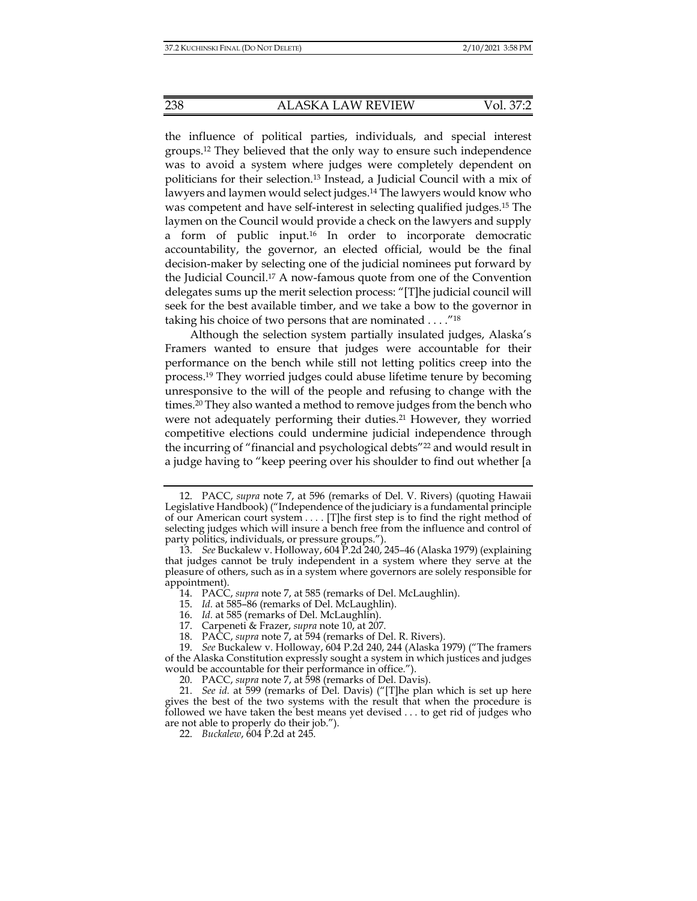the influence of political parties, individuals, and special interest groups.12 They believed that the only way to ensure such independence was to avoid a system where judges were completely dependent on politicians for their selection.13 Instead, a Judicial Council with a mix of lawyers and laymen would select judges.14 The lawyers would know who was competent and have self-interest in selecting qualified judges.15 The laymen on the Council would provide a check on the lawyers and supply a form of public input.16 In order to incorporate democratic accountability, the governor, an elected official, would be the final decision-maker by selecting one of the judicial nominees put forward by the Judicial Council.17 A now-famous quote from one of the Convention delegates sums up the merit selection process: "[T]he judicial council will seek for the best available timber, and we take a bow to the governor in taking his choice of two persons that are nominated . . . ."18

Although the selection system partially insulated judges, Alaska's Framers wanted to ensure that judges were accountable for their performance on the bench while still not letting politics creep into the process.19 They worried judges could abuse lifetime tenure by becoming unresponsive to the will of the people and refusing to change with the times.20 They also wanted a method to remove judges from the bench who were not adequately performing their duties.<sup>21</sup> However, they worried competitive elections could undermine judicial independence through the incurring of "financial and psychological debts"22 and would result in a judge having to "keep peering over his shoulder to find out whether [a

- 14. PACC, *supra* note 7, at 585 (remarks of Del. McLaughlin).
- 15. *Id.* at 585–86 (remarks of Del. McLaughlin).
- 16. *Id.* at 585 (remarks of Del. McLaughlin).
- 17. Carpeneti & Frazer, *supra* note 10, at 207.
- 18. PACC, *supra* note 7, at 594 (remarks of Del. R. Rivers).

22. *Buckalew*, 604 P.2d at 245.

 <sup>12.</sup> PACC, *supra* note 7, at 596 (remarks of Del. V. Rivers) (quoting Hawaii Legislative Handbook) ("Independence of the judiciary is a fundamental principle of our American court system . . . . [T]he first step is to find the right method of selecting judges which will insure a bench free from the influence and control of party politics, individuals, or pressure groups.").

 <sup>13.</sup> *See* Buckalew v. Holloway, 604 P.2d 240, 245–46 (Alaska 1979) (explaining that judges cannot be truly independent in a system where they serve at the pleasure of others, such as in a system where governors are solely responsible for appointment).

 <sup>19.</sup> *See* Buckalew v. Holloway, 604 P.2d 240, 244 (Alaska 1979) ("The framers of the Alaska Constitution expressly sought a system in which justices and judges would be accountable for their performance in office.").

 <sup>20.</sup> PACC, *supra* note 7, at 598 (remarks of Del. Davis).

 <sup>21.</sup> *See id.* at 599 (remarks of Del. Davis) ("[T]he plan which is set up here gives the best of the two systems with the result that when the procedure is followed we have taken the best means yet devised . . . to get rid of judges who are not able to properly do their job.").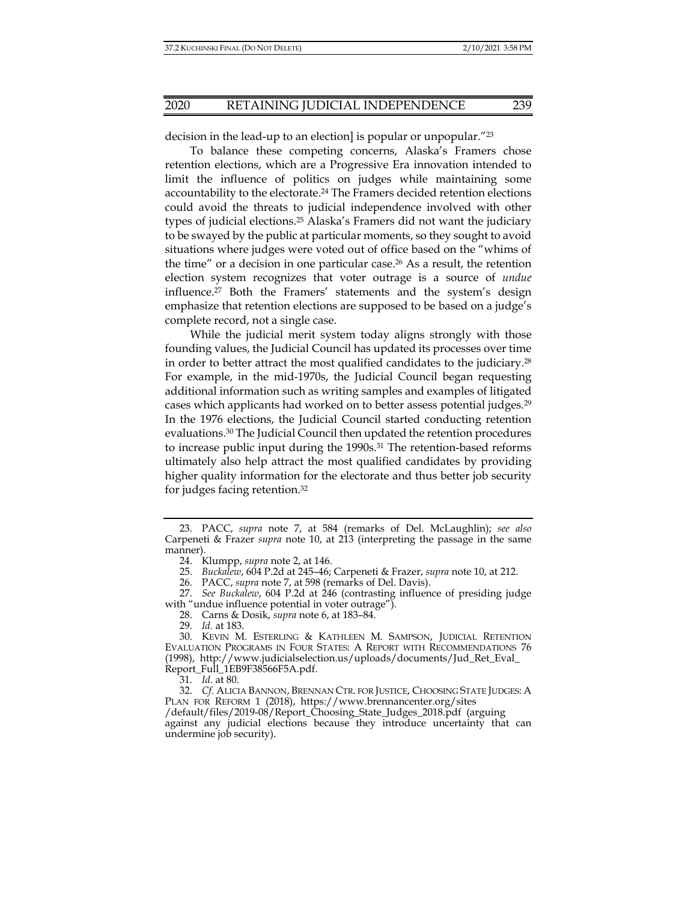decision in the lead-up to an election] is popular or unpopular."<sup>23</sup>

To balance these competing concerns, Alaska's Framers chose retention elections, which are a Progressive Era innovation intended to limit the influence of politics on judges while maintaining some accountability to the electorate.24 The Framers decided retention elections could avoid the threats to judicial independence involved with other types of judicial elections.25 Alaska's Framers did not want the judiciary to be swayed by the public at particular moments, so they sought to avoid situations where judges were voted out of office based on the "whims of the time" or a decision in one particular case.<sup>26</sup> As a result, the retention election system recognizes that voter outrage is a source of *undue* influence.27 Both the Framers' statements and the system's design emphasize that retention elections are supposed to be based on a judge's complete record, not a single case.

While the judicial merit system today aligns strongly with those founding values, the Judicial Council has updated its processes over time in order to better attract the most qualified candidates to the judiciary.28 For example, in the mid-1970s, the Judicial Council began requesting additional information such as writing samples and examples of litigated cases which applicants had worked on to better assess potential judges.29 In the 1976 elections, the Judicial Council started conducting retention evaluations.30 The Judicial Council then updated the retention procedures to increase public input during the 1990s.<sup>31</sup> The retention-based reforms ultimately also help attract the most qualified candidates by providing higher quality information for the electorate and thus better job security for judges facing retention.32

 27. *See Buckalew*, 604 P.2d at 246 (contrasting influence of presiding judge with "undue influence potential in voter outrage").

28. Carns & Dosik, *supra* note 6, at 183–84.

29. *Id.* at 183.

31. *Id.* at 80.

 32. *Cf.* ALICIA BANNON, BRENNAN CTR. FOR JUSTICE, CHOOSING STATE JUDGES: A PLAN FOR REFORM 1 (2018), https://www.brennancenter.org/sites /default/files/2019-08/Report\_Choosing\_State\_Judges\_2018.pdf (arguing against any judicial elections because they introduce uncertainty that can undermine job security).

 <sup>23.</sup> PACC, *supra* note 7, at 584 (remarks of Del. McLaughlin); *see also* Carpeneti & Frazer *supra* note 10, at 213 (interpreting the passage in the same manner).

 <sup>24.</sup> Klumpp, *supra* note 2, at 146.

 <sup>25.</sup> *Buckalew*, 604 P.2d at 245–46; Carpeneti & Frazer, *supra* note 10, at 212.

 <sup>26.</sup> PACC, *supra* note 7, at 598 (remarks of Del. Davis).

 <sup>30.</sup> KEVIN M. ESTERLING & KATHLEEN M. SAMPSON, JUDICIAL RETENTION EVALUATION PROGRAMS IN FOUR STATES: A REPORT WITH RECOMMENDATIONS 76 (1998), http://www.judicialselection.us/uploads/documents/Jud\_Ret\_Eval\_ Report\_Full\_1EB9F38566F5A.pdf.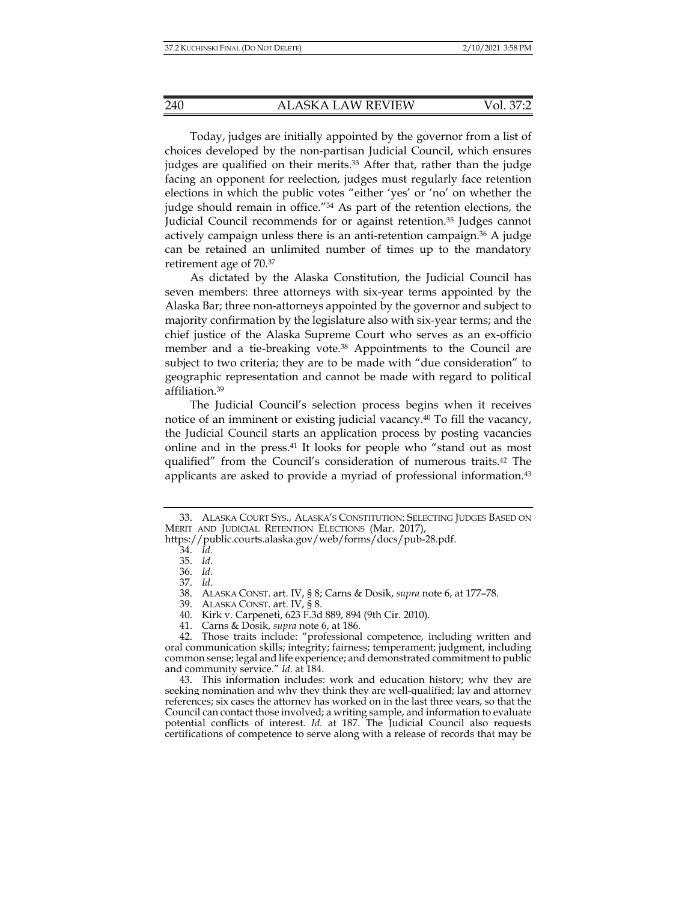Today, judges are initially appointed by the governor from a list of choices developed by the non-partisan Judicial Council, which ensures judges are qualified on their merits.<sup>33</sup> After that, rather than the judge facing an opponent for reelection, judges must regularly face retention elections in which the public votes "either 'yes' or 'no' on whether the judge should remain in office."34 As part of the retention elections, the Judicial Council recommends for or against retention.35 Judges cannot actively campaign unless there is an anti-retention campaign. $36$  A judge can be retained an unlimited number of times up to the mandatory retirement age of 70.37

As dictated by the Alaska Constitution, the Judicial Council has seven members: three attorneys with six-year terms appointed by the Alaska Bar; three non-attorneys appointed by the governor and subject to majority confirmation by the legislature also with six-year terms; and the chief justice of the Alaska Supreme Court who serves as an ex-officio member and a tie-breaking vote.<sup>38</sup> Appointments to the Council are subject to two criteria; they are to be made with "due consideration" to geographic representation and cannot be made with regard to political affiliation.39

The Judicial Council's selection process begins when it receives notice of an imminent or existing judicial vacancy.40 To fill the vacancy, the Judicial Council starts an application process by posting vacancies online and in the press.41 It looks for people who "stand out as most qualified" from the Council's consideration of numerous traits.42 The applicants are asked to provide a myriad of professional information.43

 <sup>33.</sup> ALASKA COURT SYS., ALASKA'S CONSTITUTION: SELECTING JUDGES BASED ON MERIT AND JUDICIAL RETENTION ELECTIONS (Mar. 2017), https://public.courts.alaska.gov/web/forms/docs/pub-28.pdf.

 <sup>34.</sup> *Id.*

 <sup>35.</sup> *Id.*

 <sup>36.</sup> *Id.*

 <sup>37.</sup> *Id.*

 <sup>38.</sup> ALASKA CONST. art. IV, § 8; Carns & Dosik, *supra* note 6, at 177–78.

 <sup>39.</sup> ALASKA CONST. art. IV, § 8.

 <sup>40.</sup> Kirk v. Carpeneti, 623 F.3d 889, 894 (9th Cir. 2010).

 <sup>41.</sup> Carns & Dosik, *supra* note 6, at 186.

 <sup>42.</sup> Those traits include: "professional competence, including written and oral communication skills; integrity; fairness; temperament; judgment, including common sense; legal and life experience; and demonstrated commitment to public and community service." *Id.* at 184.

 <sup>43.</sup> This information includes: work and education history; why they are seeking nomination and why they think they are well-qualified; lay and attorney references; six cases the attorney has worked on in the last three years, so that the Council can contact those involved; a writing sample, and information to evaluate potential conflicts of interest. *Id.* at 187. The Judicial Council also requests certifications of competence to serve along with a release of records that may be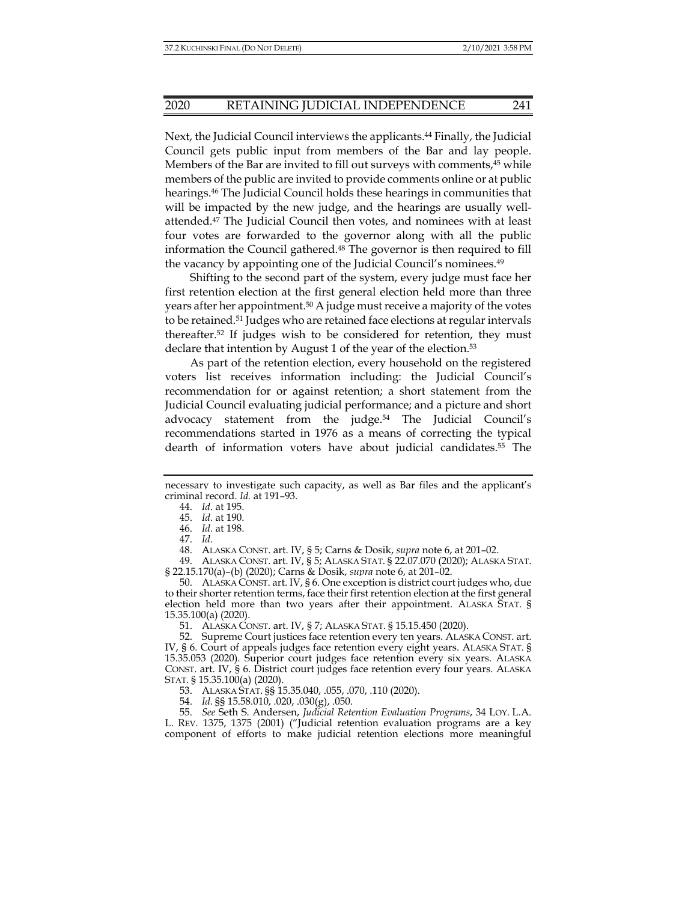Next, the Judicial Council interviews the applicants.<sup>44</sup> Finally, the Judicial Council gets public input from members of the Bar and lay people. Members of the Bar are invited to fill out surveys with comments,45 while members of the public are invited to provide comments online or at public hearings.46 The Judicial Council holds these hearings in communities that will be impacted by the new judge, and the hearings are usually wellattended.47 The Judicial Council then votes, and nominees with at least four votes are forwarded to the governor along with all the public information the Council gathered.48 The governor is then required to fill the vacancy by appointing one of the Judicial Council's nominees.49

Shifting to the second part of the system, every judge must face her first retention election at the first general election held more than three years after her appointment.50 A judge must receive a majority of the votes to be retained.51 Judges who are retained face elections at regular intervals thereafter.52 If judges wish to be considered for retention, they must declare that intention by August 1 of the year of the election.<sup>53</sup>

As part of the retention election, every household on the registered voters list receives information including: the Judicial Council's recommendation for or against retention; a short statement from the Judicial Council evaluating judicial performance; and a picture and short advocacy statement from the judge.54 The Judicial Council's recommendations started in 1976 as a means of correcting the typical dearth of information voters have about judicial candidates.<sup>55</sup> The

48. ALASKA CONST. art. IV, § 5; Carns & Dosik, *supra* note 6, at 201–02.

 49. ALASKA CONST. art. IV, § 5; ALASKA STAT. § 22.07.070 (2020); ALASKA STAT. § 22.15.170(a)–(b) (2020); Carns & Dosik, *supra* note 6, at 201–02.

 50. ALASKA CONST. art. IV, § 6. One exception is district court judges who, due to their shorter retention terms, face their first retention election at the first general election held more than two years after their appointment. ALASKA STAT. § 15.35.100(a) (2020).

51. ALASKA CONST. art. IV, § 7; ALASKA STAT. § 15.15.450 (2020).

 52. Supreme Court justices face retention every ten years. ALASKA CONST. art. IV, § 6. Court of appeals judges face retention every eight years. ALASKA STAT. § 15.35.053 (2020). Superior court judges face retention every six years. ALASKA CONST. art. IV, § 6. District court judges face retention every four years. ALASKA STAT. § 15.35.100(a) (2020).

53. ALASKA STAT. §§ 15.35.040, .055, .070, .110 (2020).

54. *Id.* §§ 15.58.010, .020, .030(g), .050.

 55. *See* Seth S. Andersen, *Judicial Retention Evaluation Programs*, 34 LOY. L.A. L. REV. 1375, 1375 (2001) ("Judicial retention evaluation programs are a key component of efforts to make judicial retention elections more meaningful

necessary to investigate such capacity, as well as Bar files and the applicant's criminal record. *Id.* at 191–93.

 <sup>44.</sup> *Id.* at 195.

 <sup>45.</sup> *Id.* at 190.

 <sup>46.</sup> *Id.* at 198.

 <sup>47.</sup> *Id.*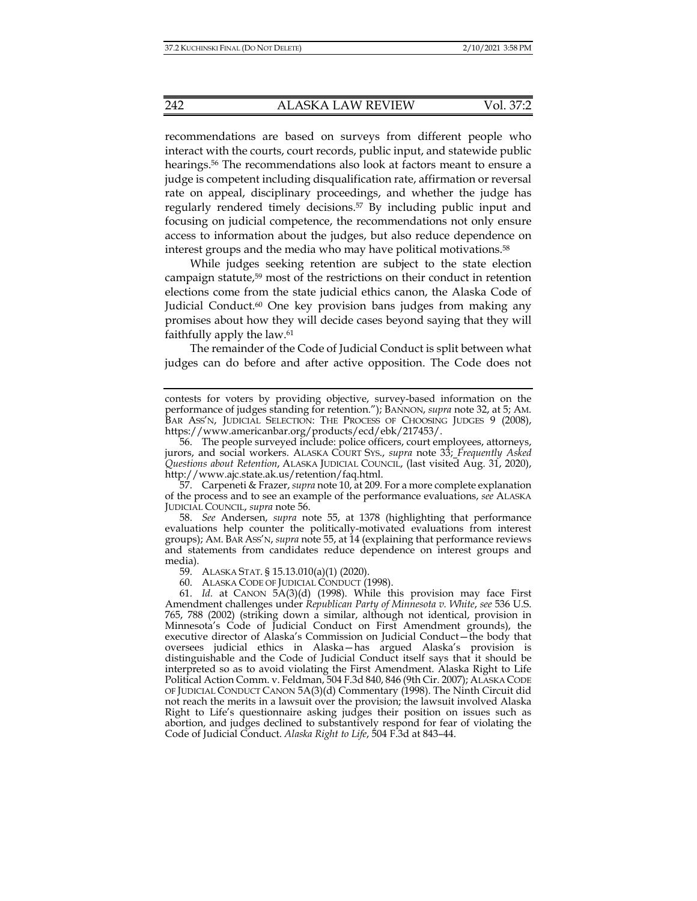recommendations are based on surveys from different people who interact with the courts, court records, public input, and statewide public hearings.56 The recommendations also look at factors meant to ensure a judge is competent including disqualification rate, affirmation or reversal rate on appeal, disciplinary proceedings, and whether the judge has regularly rendered timely decisions.<sup>57</sup> By including public input and focusing on judicial competence, the recommendations not only ensure access to information about the judges, but also reduce dependence on interest groups and the media who may have political motivations.58

While judges seeking retention are subject to the state election campaign statute,59 most of the restrictions on their conduct in retention elections come from the state judicial ethics canon, the Alaska Code of Judicial Conduct.<sup>60</sup> One key provision bans judges from making any promises about how they will decide cases beyond saying that they will faithfully apply the law.61

The remainder of the Code of Judicial Conduct is split between what judges can do before and after active opposition. The Code does not

 57. Carpeneti & Frazer, *supra* note 10, at 209. For a more complete explanation of the process and to see an example of the performance evaluations, *see* ALASKA JUDICIAL COUNCIL, *supra* note 56.

 58. *See* Andersen, *supra* note 55, at 1378 (highlighting that performance evaluations help counter the politically-motivated evaluations from interest groups); AM. BAR ASS'N, *supra* note 55, at 14 (explaining that performance reviews and statements from candidates reduce dependence on interest groups and media).

59. ALASKA STAT. § 15.13.010(a)(1) (2020).

60. ALASKA CODE OF JUDICIAL CONDUCT (1998).

 61. *Id.* at CANON 5A(3)(d) (1998). While this provision may face First Amendment challenges under *Republican Party of Minnesota v. White*, *see* 536 U.S. 765, 788 (2002) (striking down a similar, although not identical, provision in Minnesota's Code of Judicial Conduct on First Amendment grounds), the executive director of Alaska's Commission on Judicial Conduct—the body that oversees judicial ethics in Alaska—has argued Alaska's provision is distinguishable and the Code of Judicial Conduct itself says that it should be interpreted so as to avoid violating the First Amendment. Alaska Right to Life Political Action Comm. v. Feldman, 504 F.3d 840, 846 (9th Cir. 2007); ALASKA CODE OF JUDICIAL CONDUCT CANON 5A(3)(d) Commentary (1998). The Ninth Circuit did not reach the merits in a lawsuit over the provision; the lawsuit involved Alaska Right to Life's questionnaire asking judges their position on issues such as abortion, and judges declined to substantively respond for fear of violating the Code of Judicial Conduct. *Alaska Right to Life*, 504 F.3d at 843–44.

contests for voters by providing objective, survey-based information on the performance of judges standing for retention."); BANNON, *supra* note 32, at 5; AM. BAR ASS'N, JUDICIAL SELECTION: THE PROCESS OF CHOOSING JUDGES 9 (2008), https://www.americanbar.org/products/ecd/ebk/217453/.

 <sup>56.</sup> The people surveyed include: police officers, court employees, attorneys, jurors, and social workers. ALASKA COURT SYS., *supra* note 33; *Frequently Asked Questions about Retention*, ALASKA JUDICIAL COUNCIL, (last visited Aug. 31, 2020), http://www.ajc.state.ak.us/retention/faq.html.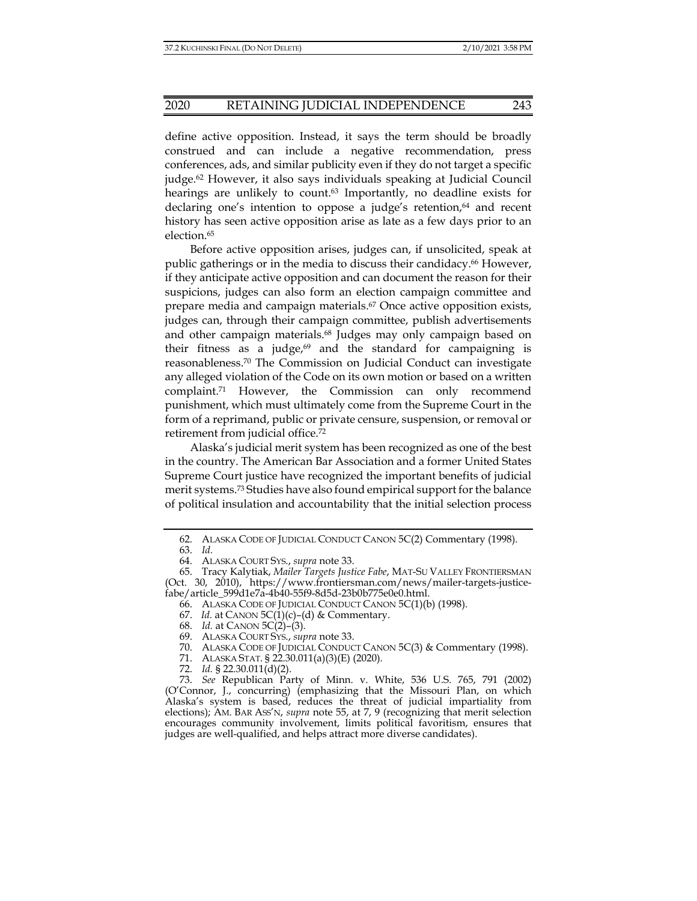## 2020 RETAINING JUDICIAL INDEPENDENCE 243

define active opposition. Instead, it says the term should be broadly construed and can include a negative recommendation, press conferences, ads, and similar publicity even if they do not target a specific judge.62 However, it also says individuals speaking at Judicial Council hearings are unlikely to count.<sup>63</sup> Importantly, no deadline exists for declaring one's intention to oppose a judge's retention, $64$  and recent history has seen active opposition arise as late as a few days prior to an election.65

Before active opposition arises, judges can, if unsolicited, speak at public gatherings or in the media to discuss their candidacy.66 However, if they anticipate active opposition and can document the reason for their suspicions, judges can also form an election campaign committee and prepare media and campaign materials.67 Once active opposition exists, judges can, through their campaign committee, publish advertisements and other campaign materials.<sup>68</sup> Judges may only campaign based on their fitness as a judge, $69$  and the standard for campaigning is reasonableness.70 The Commission on Judicial Conduct can investigate any alleged violation of the Code on its own motion or based on a written complaint.71 However, the Commission can only recommend punishment, which must ultimately come from the Supreme Court in the form of a reprimand, public or private censure, suspension, or removal or retirement from judicial office.72

Alaska's judicial merit system has been recognized as one of the best in the country. The American Bar Association and a former United States Supreme Court justice have recognized the important benefits of judicial merit systems.73 Studies have also found empirical support for the balance of political insulation and accountability that the initial selection process

66. ALASKA CODE OF JUDICIAL CONDUCT CANON 5C(1)(b) (1998).

- 68. *Id.* at CANON 5C(2)–(3).
- 69. ALASKA COURT SYS., *supra* note 33.
	- 70. ALASKA CODE OF JUDICIAL CONDUCT CANON 5C(3) & Commentary (1998).
	- 71. ALASKA STAT. § 22.30.011(a)(3)(E) (2020).
	- 72. *Id.* § 22.30.011(d)(2).

 <sup>62.</sup> ALASKA CODE OF JUDICIAL CONDUCT CANON 5C(2) Commentary (1998).

 <sup>63.</sup> *Id.*

 <sup>64.</sup> ALASKA COURT SYS., *supra* note 33.

 <sup>65.</sup> Tracy Kalytiak, *Mailer Targets Justice Fabe*, MAT-SU VALLEY FRONTIERSMAN (Oct. 30, 2010), https://www.frontiersman.com/news/mailer-targets-justicefabe/article\_599d1e7a-4b40-55f9-8d5d-23b0b775e0e0.html.

<sup>67.</sup> *Id.* at CANON  $5C(1)(c)$ –(d) & Commentary.

 <sup>73.</sup> *See* Republican Party of Minn. v. White, 536 U.S. 765, 791 (2002) (O'Connor, J., concurring) (emphasizing that the Missouri Plan, on which Alaska's system is based, reduces the threat of judicial impartiality from elections); AM. BAR ASS'N, *supra* note 55, at 7, 9 (recognizing that merit selection encourages community involvement, limits political favoritism, ensures that judges are well-qualified, and helps attract more diverse candidates).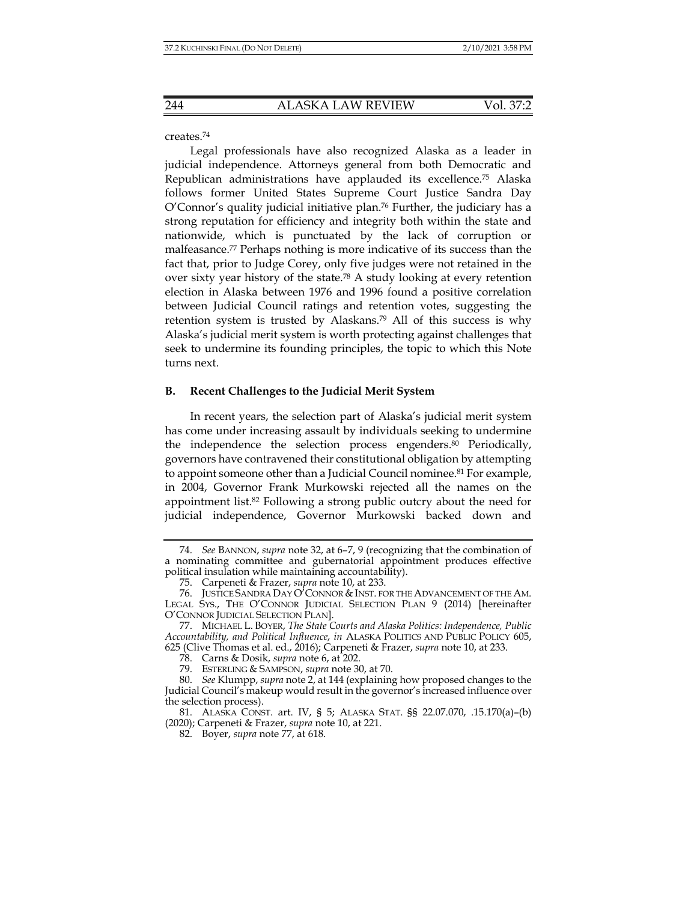# creates.74

Legal professionals have also recognized Alaska as a leader in judicial independence. Attorneys general from both Democratic and Republican administrations have applauded its excellence.75 Alaska follows former United States Supreme Court Justice Sandra Day O'Connor's quality judicial initiative plan.76 Further, the judiciary has a strong reputation for efficiency and integrity both within the state and nationwide, which is punctuated by the lack of corruption or malfeasance.77 Perhaps nothing is more indicative of its success than the fact that, prior to Judge Corey, only five judges were not retained in the over sixty year history of the state.78 A study looking at every retention election in Alaska between 1976 and 1996 found a positive correlation between Judicial Council ratings and retention votes, suggesting the retention system is trusted by Alaskans.79 All of this success is why Alaska's judicial merit system is worth protecting against challenges that seek to undermine its founding principles, the topic to which this Note turns next.

# **B. Recent Challenges to the Judicial Merit System**

In recent years, the selection part of Alaska's judicial merit system has come under increasing assault by individuals seeking to undermine the independence the selection process engenders.<sup>80</sup> Periodically, governors have contravened their constitutional obligation by attempting to appoint someone other than a Judicial Council nominee.<sup>81</sup> For example, in 2004, Governor Frank Murkowski rejected all the names on the appointment list.82 Following a strong public outcry about the need for judicial independence, Governor Murkowski backed down and

 <sup>74.</sup> *See* BANNON, *supra* note 32, at 6–7, 9 (recognizing that the combination of a nominating committee and gubernatorial appointment produces effective political insulation while maintaining accountability).

 <sup>75.</sup> Carpeneti & Frazer, *supra* note 10, at 233.

 <sup>76.</sup> JUSTICE SANDRA DAY O'CONNOR & INST. FOR THE ADVANCEMENT OF THE AM. LEGAL SYS., THE O'CONNOR JUDICIAL SELECTION PLAN 9 (2014) [hereinafter O'CONNOR JUDICIAL SELECTION PLAN].

 <sup>77.</sup> MICHAEL L. BOYER, *The State Courts and Alaska Politics: Independence, Public Accountability, and Political Influence*, *in* ALASKA POLITICS AND PUBLIC POLICY 605, 625 (Clive Thomas et al. ed., 2016); Carpeneti & Frazer, *supra* note 10, at 233.

 <sup>78.</sup> Carns & Dosik, *supra* note 6, at 202.

 <sup>79.</sup> ESTERLING & SAMPSON, *supra* note 30, at 70.

 <sup>80.</sup> *See* Klumpp, *supra* note 2, at 144 (explaining how proposed changes to the Judicial Council's makeup would result in the governor's increased influence over the selection process).

 <sup>81.</sup> ALASKA CONST. art. IV, § 5; ALASKA STAT. §§ 22.07.070, .15.170(a)–(b) (2020); Carpeneti & Frazer, *supra* note 10, at 221.

 <sup>82.</sup> Boyer, *supra* note 77, at 618.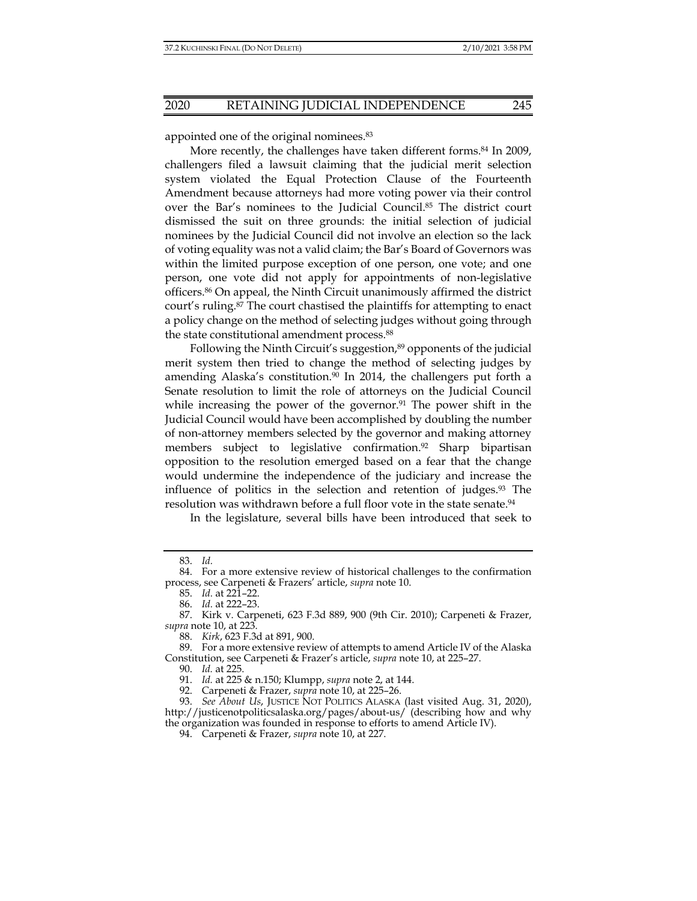appointed one of the original nominees.<sup>83</sup>

More recently, the challenges have taken different forms.<sup>84</sup> In 2009, challengers filed a lawsuit claiming that the judicial merit selection system violated the Equal Protection Clause of the Fourteenth Amendment because attorneys had more voting power via their control over the Bar's nominees to the Judicial Council.85 The district court dismissed the suit on three grounds: the initial selection of judicial nominees by the Judicial Council did not involve an election so the lack of voting equality was not a valid claim; the Bar's Board of Governors was within the limited purpose exception of one person, one vote; and one person, one vote did not apply for appointments of non-legislative officers.86 On appeal, the Ninth Circuit unanimously affirmed the district court's ruling.87 The court chastised the plaintiffs for attempting to enact a policy change on the method of selecting judges without going through the state constitutional amendment process.88

Following the Ninth Circuit's suggestion,<sup>89</sup> opponents of the judicial merit system then tried to change the method of selecting judges by amending Alaska's constitution.<sup>90</sup> In 2014, the challengers put forth a Senate resolution to limit the role of attorneys on the Judicial Council while increasing the power of the governor.<sup>91</sup> The power shift in the Judicial Council would have been accomplished by doubling the number of non-attorney members selected by the governor and making attorney members subject to legislative confirmation.92 Sharp bipartisan opposition to the resolution emerged based on a fear that the change would undermine the independence of the judiciary and increase the influence of politics in the selection and retention of judges.<sup>93</sup> The resolution was withdrawn before a full floor vote in the state senate.<sup>94</sup>

In the legislature, several bills have been introduced that seek to

 <sup>83.</sup> *Id.*

 <sup>84.</sup> For a more extensive review of historical challenges to the confirmation process, see Carpeneti & Frazers' article, *supra* note 10.

 <sup>85.</sup> *Id.* at 221–22.

 <sup>86.</sup> *Id.* at 222–23.

 <sup>87.</sup> Kirk v. Carpeneti, 623 F.3d 889, 900 (9th Cir. 2010); Carpeneti & Frazer, *supra* note 10, at 223.

 <sup>88.</sup> *Kirk*, 623 F.3d at 891, 900.

 <sup>89.</sup> For a more extensive review of attempts to amend Article IV of the Alaska Constitution, see Carpeneti & Frazer's article, *supra* note 10, at 225–27.

 <sup>90.</sup> *Id.* at 225.

 <sup>91.</sup> *Id.* at 225 & n.150; Klumpp, *supra* note 2, at 144.

 <sup>92.</sup> Carpeneti & Frazer, *supra* note 10, at 225–26.

 <sup>93.</sup> *See About Us*, JUSTICE NOT POLITICS ALASKA (last visited Aug. 31, 2020), http://justicenotpoliticsalaska.org/pages/about-us/ (describing how and why the organization was founded in response to efforts to amend Article IV).

 <sup>94.</sup> Carpeneti & Frazer, *supra* note 10, at 227.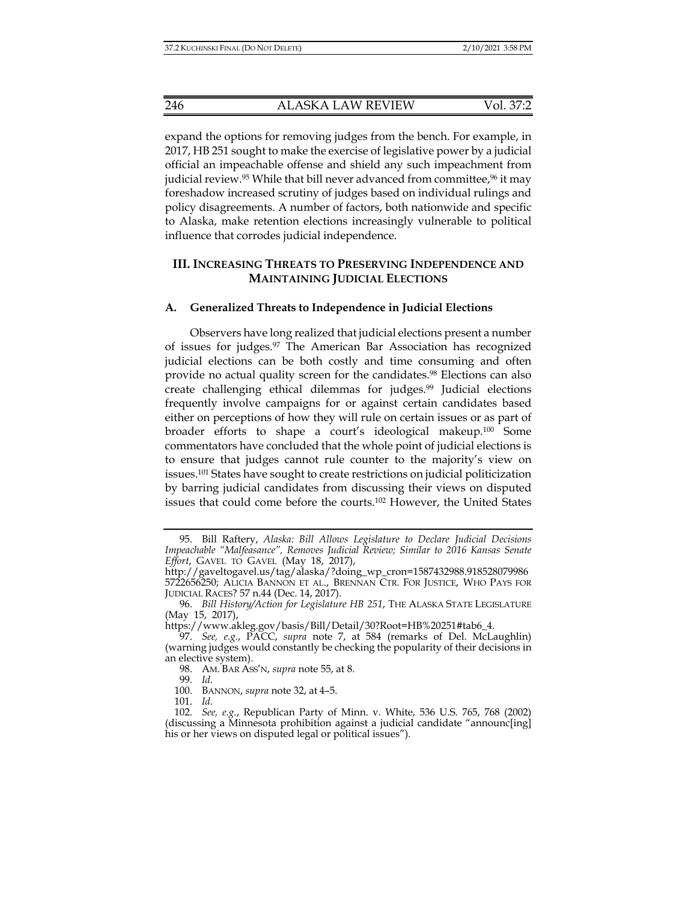expand the options for removing judges from the bench. For example, in 2017, HB 251 sought to make the exercise of legislative power by a judicial official an impeachable offense and shield any such impeachment from judicial review.<sup>95</sup> While that bill never advanced from committee,<sup>96</sup> it may foreshadow increased scrutiny of judges based on individual rulings and policy disagreements. A number of factors, both nationwide and specific to Alaska, make retention elections increasingly vulnerable to political influence that corrodes judicial independence.

# **III. INCREASING THREATS TO PRESERVING INDEPENDENCE AND MAINTAINING JUDICIAL ELECTIONS**

## **A. Generalized Threats to Independence in Judicial Elections**

Observers have long realized that judicial elections present a number of issues for judges.97 The American Bar Association has recognized judicial elections can be both costly and time consuming and often provide no actual quality screen for the candidates.98 Elections can also create challenging ethical dilemmas for judges.99 Judicial elections frequently involve campaigns for or against certain candidates based either on perceptions of how they will rule on certain issues or as part of broader efforts to shape a court's ideological makeup.100 Some commentators have concluded that the whole point of judicial elections is to ensure that judges cannot rule counter to the majority's view on issues.101 States have sought to create restrictions on judicial politicization by barring judicial candidates from discussing their views on disputed issues that could come before the courts.102 However, the United States

99. *Id*.

 <sup>95.</sup> Bill Raftery, *Alaska: Bill Allows Legislature to Declare Judicial Decisions Impeachable "Malfeasance", Removes Judicial Review; Similar to 2016 Kansas Senate Effort*, GAVEL TO GAVEL (May 18, 2017),

http://gaveltogavel.us/tag/alaska/?doing\_wp\_cron=1587432988.918528079986 5722656250; ALICIA BANNON ET AL., BRENNAN CTR. FOR JUSTICE, WHO PAYS FOR JUDICIAL RACES? 57 n.44 (Dec. 14, 2017).

 <sup>96.</sup> *Bill History/Action for Legislature HB 251*, THE ALASKA STATE LEGISLATURE (May 15, 2017),

https://www.akleg.gov/basis/Bill/Detail/30?Root=HB%20251#tab6\_4.

 <sup>97.</sup> *See, e.g.*, PACC, *supra* note 7, at 584 (remarks of Del. McLaughlin) (warning judges would constantly be checking the popularity of their decisions in an elective system).

 <sup>98.</sup> AM. BAR ASS'N, *supra* note 55, at 8.

 <sup>100.</sup> BANNON, *supra* note 32, at 4–5.

 <sup>101.</sup> *Id.*

 <sup>102.</sup> *See, e.g.*, Republican Party of Minn. v. White, 536 U.S. 765, 768 (2002) (discussing a Minnesota prohibition against a judicial candidate "announc[ing] his or her views on disputed legal or political issues").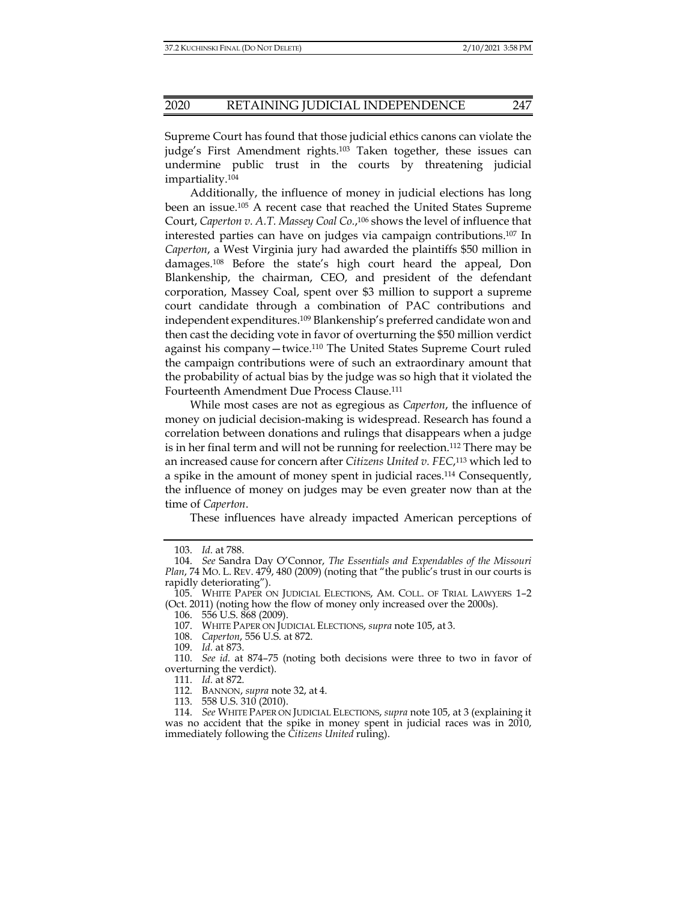Supreme Court has found that those judicial ethics canons can violate the judge's First Amendment rights.103 Taken together, these issues can undermine public trust in the courts by threatening judicial impartiality.104

Additionally, the influence of money in judicial elections has long been an issue.105 A recent case that reached the United States Supreme Court, *Caperton v. A.T. Massey Coal Co.*, 106 shows the level of influence that interested parties can have on judges via campaign contributions.107 In *Caperton*, a West Virginia jury had awarded the plaintiffs \$50 million in damages.108 Before the state's high court heard the appeal, Don Blankenship, the chairman, CEO, and president of the defendant corporation, Massey Coal, spent over \$3 million to support a supreme court candidate through a combination of PAC contributions and independent expenditures.109 Blankenship's preferred candidate won and then cast the deciding vote in favor of overturning the \$50 million verdict against his company—twice.110 The United States Supreme Court ruled the campaign contributions were of such an extraordinary amount that the probability of actual bias by the judge was so high that it violated the Fourteenth Amendment Due Process Clause.111

While most cases are not as egregious as *Caperton*, the influence of money on judicial decision-making is widespread. Research has found a correlation between donations and rulings that disappears when a judge is in her final term and will not be running for reelection.112 There may be an increased cause for concern after *Citizens United v. FEC*, 113 which led to a spike in the amount of money spent in judicial races.114 Consequently, the influence of money on judges may be even greater now than at the time of *Caperton*.

These influences have already impacted American perceptions of

 <sup>103.</sup> *Id.* at 788.

 <sup>104.</sup> *See* Sandra Day O'Connor, *The Essentials and Expendables of the Missouri Plan*, 74 MO. L. REV. 479, 480 (2009) (noting that "the public's trust in our courts is rapidly deteriorating").

 <sup>105.</sup> WHITE PAPER ON JUDICIAL ELECTIONS, AM. COLL. OF TRIAL LAWYERS 1–2 (Oct. 2011) (noting how the flow of money only increased over the 2000s).

 <sup>106. 556</sup> U.S. 868 (2009).

 <sup>107.</sup> WHITE PAPER ON JUDICIAL ELECTIONS, *supra* note 105, at 3.

 <sup>108.</sup> *Caperton*, 556 U.S. at 872.

 <sup>109.</sup> *Id.* at 873.

 <sup>110.</sup> *See id.* at 874–75 (noting both decisions were three to two in favor of overturning the verdict).

 <sup>111.</sup> *Id.* at 872.

 <sup>112.</sup> BANNON, *supra* note 32, at 4.

 <sup>113. 558</sup> U.S. 310 (2010).

 <sup>114.</sup> *See* WHITE PAPER ON JUDICIAL ELECTIONS, *supra* note 105, at 3 (explaining it was no accident that the spike in money spent in judicial races was in 2010, immediately following the *Citizens United* ruling).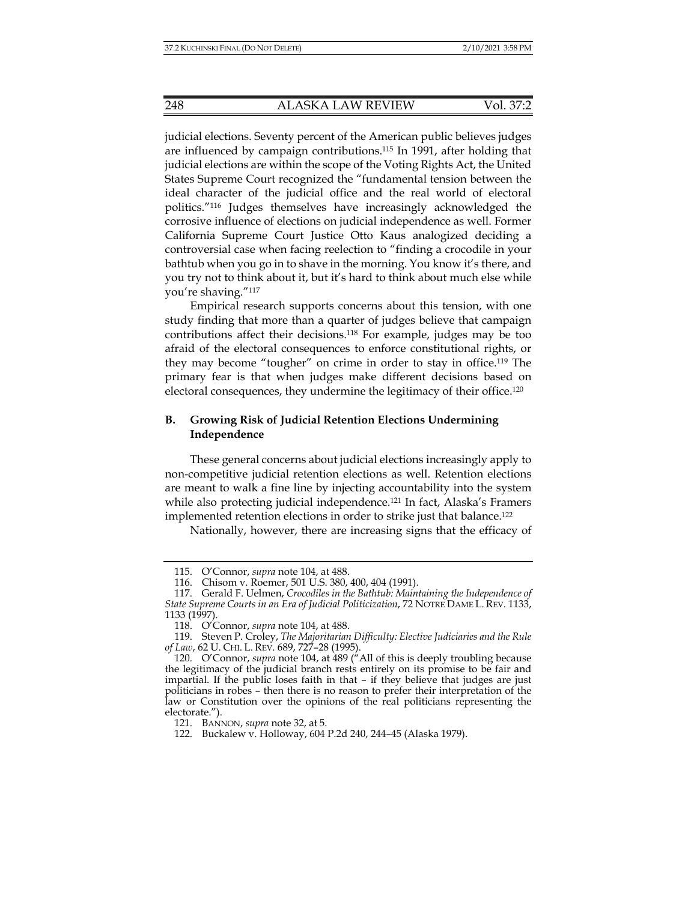judicial elections. Seventy percent of the American public believes judges are influenced by campaign contributions.115 In 1991, after holding that judicial elections are within the scope of the Voting Rights Act, the United States Supreme Court recognized the "fundamental tension between the ideal character of the judicial office and the real world of electoral politics."116 Judges themselves have increasingly acknowledged the corrosive influence of elections on judicial independence as well. Former California Supreme Court Justice Otto Kaus analogized deciding a controversial case when facing reelection to "finding a crocodile in your bathtub when you go in to shave in the morning. You know it's there, and you try not to think about it, but it's hard to think about much else while you're shaving."117

Empirical research supports concerns about this tension, with one study finding that more than a quarter of judges believe that campaign contributions affect their decisions.118 For example, judges may be too afraid of the electoral consequences to enforce constitutional rights, or they may become "tougher" on crime in order to stay in office.119 The primary fear is that when judges make different decisions based on electoral consequences, they undermine the legitimacy of their office.<sup>120</sup>

# **B. Growing Risk of Judicial Retention Elections Undermining Independence**

These general concerns about judicial elections increasingly apply to non-competitive judicial retention elections as well. Retention elections are meant to walk a fine line by injecting accountability into the system while also protecting judicial independence.<sup>121</sup> In fact, Alaska's Framers implemented retention elections in order to strike just that balance.122

Nationally, however, there are increasing signs that the efficacy of

 <sup>115.</sup> O'Connor, *supra* note 104, at 488.

 <sup>116.</sup> Chisom v. Roemer, 501 U.S. 380, 400, 404 (1991).

 <sup>117.</sup> Gerald F. Uelmen, *Crocodiles in the Bathtub: Maintaining the Independence of State Supreme Courts in an Era of Judicial Politicization*, 72 NOTRE DAME L. REV. 1133, 1133 (1997).

 <sup>118.</sup> O'Connor, *supra* note 104, at 488.

 <sup>119.</sup> Steven P. Croley, *The Majoritarian Difficulty: Elective Judiciaries and the Rule of Law*, 62 U. CHI. L. REV. 689, 727–28 (1995).

 <sup>120.</sup> O'Connor, *supra* note 104, at 489 ("All of this is deeply troubling because the legitimacy of the judicial branch rests entirely on its promise to be fair and impartial. If the public loses faith in that – if they believe that judges are just politicians in robes – then there is no reason to prefer their interpretation of the law or Constitution over the opinions of the real politicians representing the electorate.").

 <sup>121.</sup> BANNON, *supra* note 32, at 5.

 <sup>122.</sup> Buckalew v. Holloway, 604 P.2d 240, 244–45 (Alaska 1979).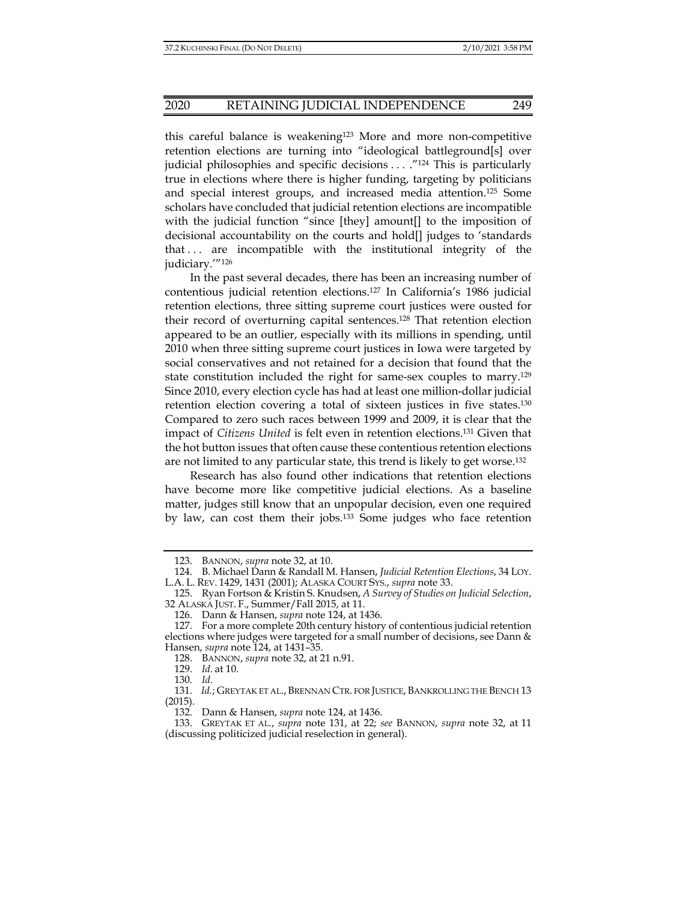#### 2020 RETAINING JUDICIAL INDEPENDENCE 249

this careful balance is weakening123 More and more non-competitive retention elections are turning into "ideological battleground[s] over judicial philosophies and specific decisions . . . . "<sup>124</sup> This is particularly true in elections where there is higher funding, targeting by politicians and special interest groups, and increased media attention.125 Some scholars have concluded that judicial retention elections are incompatible with the judicial function "since [they] amount[] to the imposition of decisional accountability on the courts and hold[] judges to 'standards that . . . are incompatible with the institutional integrity of the judiciary.'"126

In the past several decades, there has been an increasing number of contentious judicial retention elections.127 In California's 1986 judicial retention elections, three sitting supreme court justices were ousted for their record of overturning capital sentences.128 That retention election appeared to be an outlier, especially with its millions in spending, until 2010 when three sitting supreme court justices in Iowa were targeted by social conservatives and not retained for a decision that found that the state constitution included the right for same-sex couples to marry.129 Since 2010, every election cycle has had at least one million-dollar judicial retention election covering a total of sixteen justices in five states.130 Compared to zero such races between 1999 and 2009, it is clear that the impact of *Citizens United* is felt even in retention elections.131 Given that the hot button issues that often cause these contentious retention elections are not limited to any particular state, this trend is likely to get worse.132

 Research has also found other indications that retention elections have become more like competitive judicial elections. As a baseline matter, judges still know that an unpopular decision, even one required by law, can cost them their jobs.133 Some judges who face retention

 <sup>123.</sup> BANNON, *supra* note 32, at 10.

 <sup>124.</sup> B. Michael Dann & Randall M. Hansen, *Judicial Retention Elections*, 34 LOY. L.A. L. REV. 1429, 1431 (2001); ALASKA COURT SYS., *supra* note 33.

 <sup>125.</sup> Ryan Fortson & Kristin S. Knudsen, *A Survey of Studies on Judicial Selection*, 32 ALASKA JUST. F., Summer/Fall 2015, at 11.

 <sup>126.</sup> Dann & Hansen, *supra* note 124, at 1436.

 <sup>127.</sup> For a more complete 20th century history of contentious judicial retention elections where judges were targeted for a small number of decisions, see Dann & Hansen, *supra* note 124, at 1431–35.

 <sup>128.</sup> BANNON, *supra* note 32, at 21 n.91.

 <sup>129.</sup> *Id.* at 10.

 <sup>130.</sup> *Id.*

 <sup>131.</sup> *Id.*; GREYTAK ET AL., BRENNAN CTR. FOR JUSTICE, BANKROLLING THE BENCH 13 (2015).

 <sup>132.</sup> Dann & Hansen, *supra* note 124, at 1436.

 <sup>133.</sup> GREYTAK ET AL., *supra* note 131, at 22; *see* BANNON, *supra* note 32, at 11 (discussing politicized judicial reselection in general).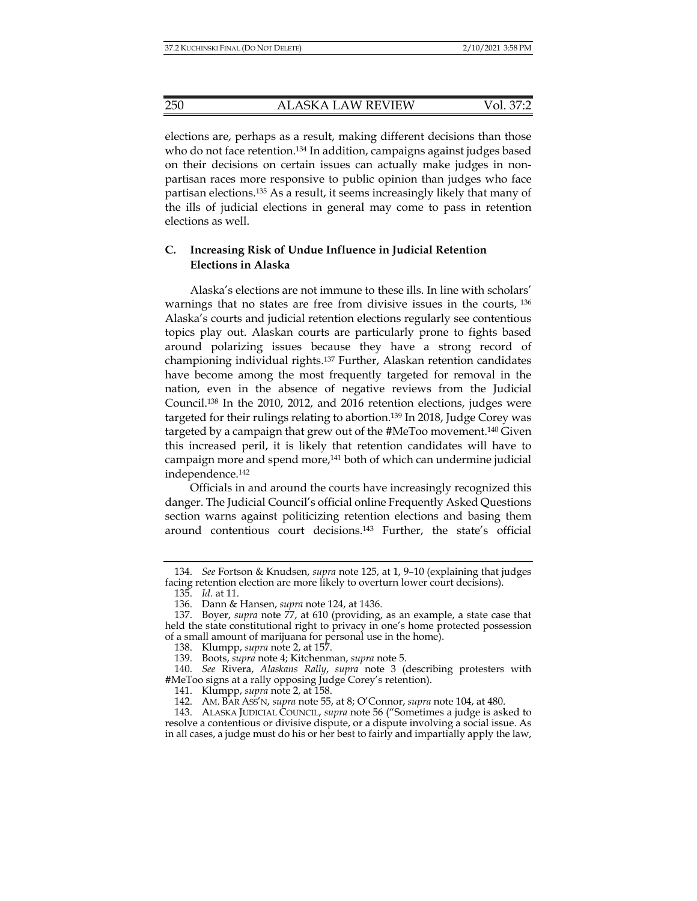elections are, perhaps as a result, making different decisions than those who do not face retention.<sup>134</sup> In addition, campaigns against judges based on their decisions on certain issues can actually make judges in nonpartisan races more responsive to public opinion than judges who face partisan elections.135 As a result, it seems increasingly likely that many of the ills of judicial elections in general may come to pass in retention elections as well.

# **C. Increasing Risk of Undue Influence in Judicial Retention Elections in Alaska**

Alaska's elections are not immune to these ills. In line with scholars' warnings that no states are free from divisive issues in the courts, 136 Alaska's courts and judicial retention elections regularly see contentious topics play out. Alaskan courts are particularly prone to fights based around polarizing issues because they have a strong record of championing individual rights.137 Further, Alaskan retention candidates have become among the most frequently targeted for removal in the nation, even in the absence of negative reviews from the Judicial Council.138 In the 2010, 2012, and 2016 retention elections, judges were targeted for their rulings relating to abortion.<sup>139</sup> In 2018, Judge Corey was targeted by a campaign that grew out of the #MeToo movement.140 Given this increased peril, it is likely that retention candidates will have to campaign more and spend more,<sup>141</sup> both of which can undermine judicial independence.142

Officials in and around the courts have increasingly recognized this danger. The Judicial Council's official online Frequently Asked Questions section warns against politicizing retention elections and basing them around contentious court decisions.143 Further, the state's official

 <sup>134.</sup> *See* Fortson & Knudsen, *supra* note 125, at 1, 9–10 (explaining that judges facing retention election are more likely to overturn lower court decisions).

 <sup>135.</sup> *Id.* at 11.

 <sup>136.</sup> Dann & Hansen, *supra* note 124, at 1436.

 <sup>137.</sup> Boyer, *supra* note 77, at 610 (providing, as an example, a state case that held the state constitutional right to privacy in one's home protected possession of a small amount of marijuana for personal use in the home).

 <sup>138.</sup> Klumpp, *supra* note 2, at 157.

 <sup>139.</sup> Boots, *supra* note 4; Kitchenman, *supra* note 5.

 <sup>140.</sup> *See* Rivera, *Alaskans Rally*, *supra* note 3 (describing protesters with #MeToo signs at a rally opposing Judge Corey's retention).

 <sup>141.</sup> Klumpp, *supra* note 2, at 158.

 <sup>142.</sup> AM. BAR ASS'N, *supra* note 55, at 8; O'Connor, *supra* note 104, at 480.

 <sup>143.</sup> ALASKA JUDICIAL COUNCIL, *supra* note 56 ("Sometimes a judge is asked to resolve a contentious or divisive dispute, or a dispute involving a social issue. As in all cases, a judge must do his or her best to fairly and impartially apply the law,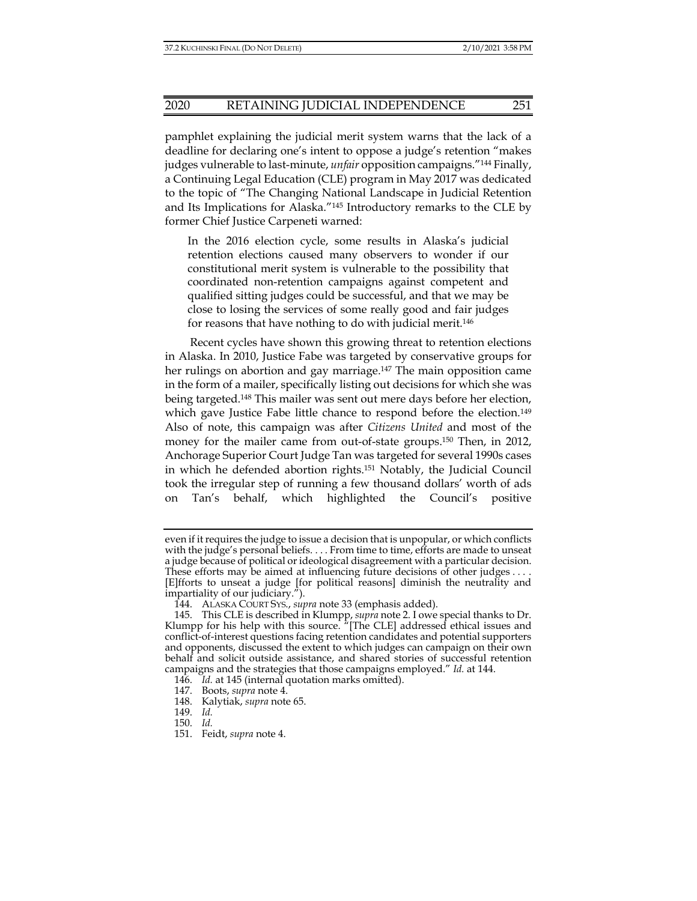pamphlet explaining the judicial merit system warns that the lack of a deadline for declaring one's intent to oppose a judge's retention "makes judges vulnerable to last-minute, *unfair* opposition campaigns."144 Finally, a Continuing Legal Education (CLE) program in May 2017 was dedicated to the topic of "The Changing National Landscape in Judicial Retention and Its Implications for Alaska."145 Introductory remarks to the CLE by former Chief Justice Carpeneti warned:

In the 2016 election cycle, some results in Alaska's judicial retention elections caused many observers to wonder if our constitutional merit system is vulnerable to the possibility that coordinated non-retention campaigns against competent and qualified sitting judges could be successful, and that we may be close to losing the services of some really good and fair judges for reasons that have nothing to do with judicial merit.146

Recent cycles have shown this growing threat to retention elections in Alaska. In 2010, Justice Fabe was targeted by conservative groups for her rulings on abortion and gay marriage.<sup>147</sup> The main opposition came in the form of a mailer, specifically listing out decisions for which she was being targeted.148 This mailer was sent out mere days before her election, which gave Justice Fabe little chance to respond before the election.<sup>149</sup> Also of note, this campaign was after *Citizens United* and most of the money for the mailer came from out-of-state groups.150 Then, in 2012, Anchorage Superior Court Judge Tan was targeted for several 1990s cases in which he defended abortion rights.151 Notably, the Judicial Council took the irregular step of running a few thousand dollars' worth of ads on Tan's behalf, which highlighted the Council's positive

even if it requires the judge to issue a decision that is unpopular, or which conflicts with the judge's personal beliefs. . . . From time to time, efforts are made to unseat a judge because of political or ideological disagreement with a particular decision. These efforts may be aimed at influencing future decisions of other judges . . . . [E]fforts to unseat a judge [for political reasons] diminish the neutrality and impartiality of our judiciary.").

 <sup>144.</sup> ALASKA COURT SYS., *supra* note 33 (emphasis added).

 <sup>145.</sup> This CLE is described in Klumpp, *supra* note 2. I owe special thanks to Dr. Klumpp for his help with this source. "[The CLE] addressed ethical issues and conflict-of-interest questions facing retention candidates and potential supporters and opponents, discussed the extent to which judges can campaign on their own behalf and solicit outside assistance, and shared stories of successful retention campaigns and the strategies that those campaigns employed." *Id.* at 144.

 <sup>146.</sup> *Id.* at 145 (internal quotation marks omitted).

 <sup>147.</sup> Boots, *supra* note 4.

 <sup>148.</sup> Kalytiak, *supra* note 65.

 <sup>149.</sup> *Id.*

 <sup>150.</sup> *Id.*

 <sup>151.</sup> Feidt, *supra* note 4.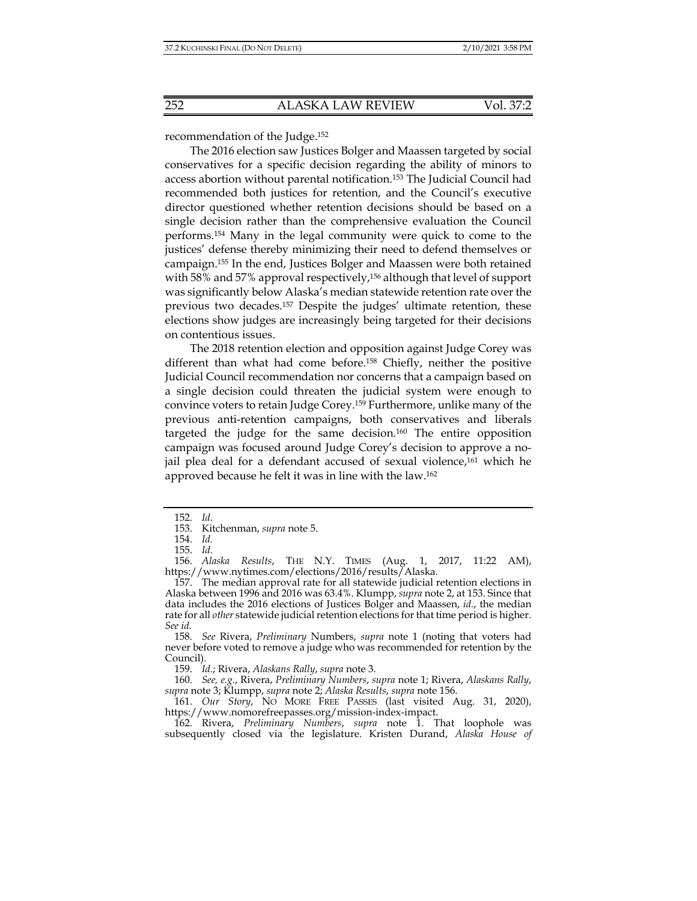recommendation of the Judge.152

The 2016 election saw Justices Bolger and Maassen targeted by social conservatives for a specific decision regarding the ability of minors to access abortion without parental notification.153 The Judicial Council had recommended both justices for retention, and the Council's executive director questioned whether retention decisions should be based on a single decision rather than the comprehensive evaluation the Council performs.154 Many in the legal community were quick to come to the justices' defense thereby minimizing their need to defend themselves or campaign.155 In the end, Justices Bolger and Maassen were both retained with 58% and 57% approval respectively,<sup>156</sup> although that level of support was significantly below Alaska's median statewide retention rate over the previous two decades.157 Despite the judges' ultimate retention, these elections show judges are increasingly being targeted for their decisions on contentious issues.

The 2018 retention election and opposition against Judge Corey was different than what had come before.<sup>158</sup> Chiefly, neither the positive Judicial Council recommendation nor concerns that a campaign based on a single decision could threaten the judicial system were enough to convince voters to retain Judge Corey.159 Furthermore, unlike many of the previous anti-retention campaigns, both conservatives and liberals targeted the judge for the same decision.160 The entire opposition campaign was focused around Judge Corey's decision to approve a nojail plea deal for a defendant accused of sexual violence,<sup>161</sup> which he approved because he felt it was in line with the law.162

 <sup>152.</sup> *Id.* 

 <sup>153.</sup> Kitchenman, *supra* note 5.

 <sup>154.</sup> *Id.* 

 <sup>155.</sup> *Id.*

 <sup>156.</sup> *Alaska Results*, THE N.Y. TIMES (Aug. 1, 2017, 11:22 AM), https://www.nytimes.com/elections/2016/results/Alaska.

 <sup>157.</sup> The median approval rate for all statewide judicial retention elections in Alaska between 1996 and 2016 was 63.4%. Klumpp, *supra* note 2, at 153. Since that data includes the 2016 elections of Justices Bolger and Maassen, *id.*, the median rate for all *other* statewide judicial retention elections for that time period is higher. *See id.*

 <sup>158.</sup> *See* Rivera, *Preliminary* Numbers, *supra* note 1 (noting that voters had never before voted to remove a judge who was recommended for retention by the Council).

 <sup>159.</sup> *Id.*; Rivera, *Alaskans Rally*, *supra* note 3.

 <sup>160.</sup> *See, e.g.*, Rivera, *Preliminary Numbers*, *supra* note 1; Rivera, *Alaskans Rally*, *supra* note 3; Klumpp, *supra* note 2; *Alaska Results*, *supra* note 156.

 <sup>161.</sup> *Our Story*, NO MORE FREE PASSES (last visited Aug. 31, 2020), https://www.nomorefreepasses.org/mission-index-impact.

 <sup>162.</sup> Rivera, *Preliminary Numbers*, *supra* note 1. That loophole was subsequently closed via the legislature. Kristen Durand, *Alaska House of*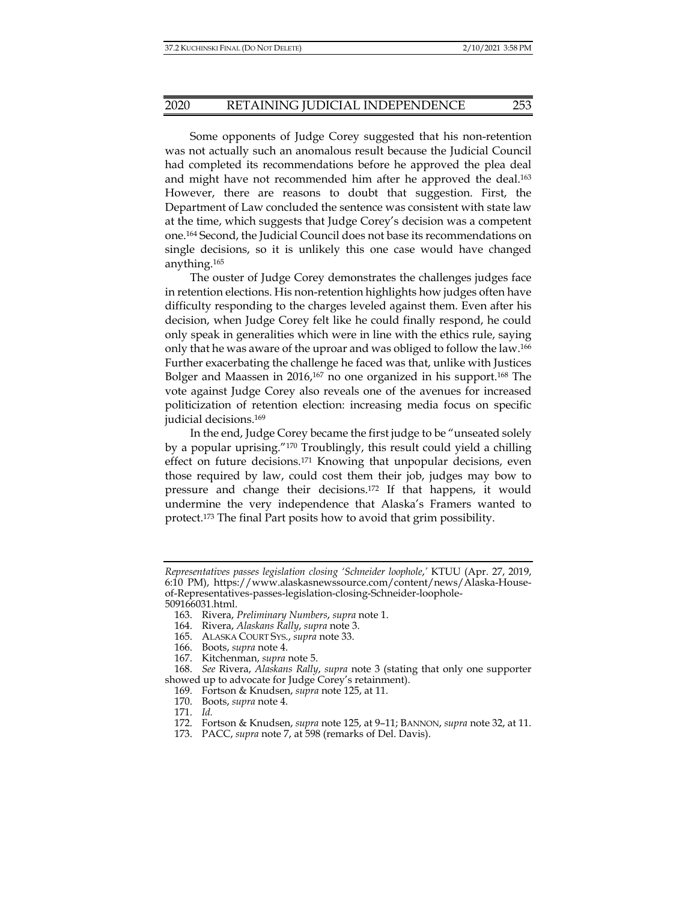Some opponents of Judge Corey suggested that his non-retention was not actually such an anomalous result because the Judicial Council had completed its recommendations before he approved the plea deal and might have not recommended him after he approved the deal.<sup>163</sup> However, there are reasons to doubt that suggestion. First, the Department of Law concluded the sentence was consistent with state law at the time, which suggests that Judge Corey's decision was a competent one.164 Second, the Judicial Council does not base its recommendations on single decisions, so it is unlikely this one case would have changed anything.165

The ouster of Judge Corey demonstrates the challenges judges face in retention elections. His non-retention highlights how judges often have difficulty responding to the charges leveled against them. Even after his decision, when Judge Corey felt like he could finally respond, he could only speak in generalities which were in line with the ethics rule, saying only that he was aware of the uproar and was obliged to follow the law.166 Further exacerbating the challenge he faced was that, unlike with Justices Bolger and Maassen in 2016,<sup>167</sup> no one organized in his support.<sup>168</sup> The vote against Judge Corey also reveals one of the avenues for increased politicization of retention election: increasing media focus on specific judicial decisions.169

In the end, Judge Corey became the first judge to be "unseated solely by a popular uprising."170 Troublingly, this result could yield a chilling effect on future decisions.171 Knowing that unpopular decisions, even those required by law, could cost them their job, judges may bow to pressure and change their decisions.172 If that happens, it would undermine the very independence that Alaska's Framers wanted to protect.173 The final Part posits how to avoid that grim possibility.

*Representatives passes legislation closing 'Schneider loophole*,*'* KTUU (Apr. 27, 2019, 6:10 PM), https://www.alaskasnewssource.com/content/news/Alaska-Houseof-Representatives-passes-legislation-closing-Schneider-loophole-509166031.html.

 <sup>163.</sup> Rivera, *Preliminary Numbers*, *supra* note 1.

 <sup>164.</sup> Rivera, *Alaskans Rally*, *supra* note 3.

 <sup>165.</sup> ALASKA COURT SYS., *supra* note 33.

 <sup>166.</sup> Boots, *supra* note 4.

 <sup>167.</sup> Kitchenman, *supra* note 5.

 <sup>168.</sup> *See* Rivera, *Alaskans Rally*, *supra* note 3 (stating that only one supporter showed up to advocate for Judge Corey's retainment).

 <sup>169.</sup> Fortson & Knudsen, *supra* note 125, at 11.

 <sup>170.</sup> Boots, *supra* note 4.

 <sup>171.</sup> *Id.* 

 <sup>172.</sup> Fortson & Knudsen, *supra* note 125, at 9–11; BANNON, *supra* note 32, at 11.

 <sup>173.</sup> PACC, *supra* note 7, at 598 (remarks of Del. Davis).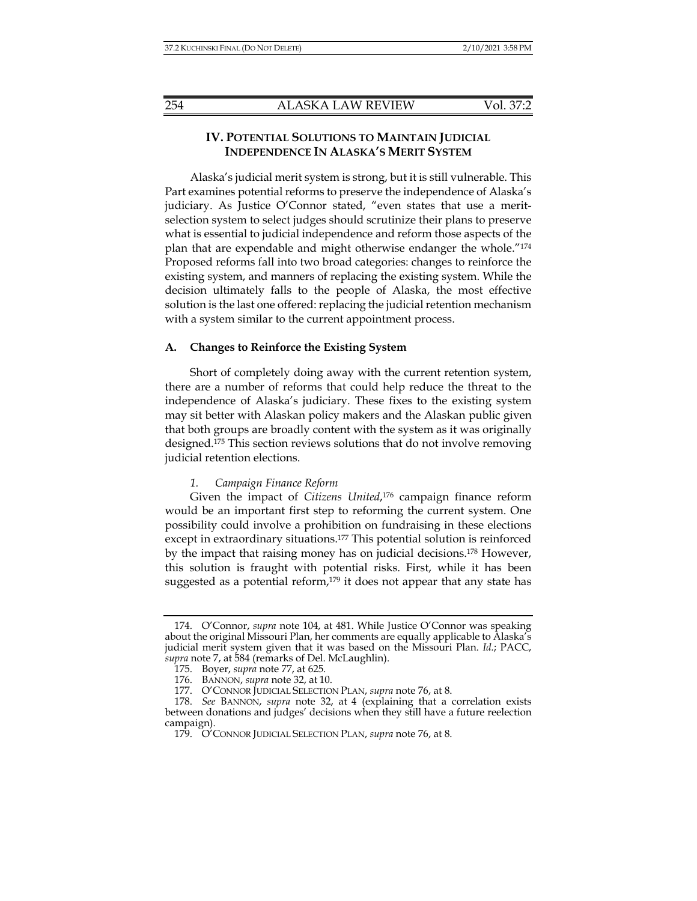# **IV. POTENTIAL SOLUTIONS TO MAINTAIN JUDICIAL INDEPENDENCE IN ALASKA'S MERIT SYSTEM**

Alaska's judicial merit system is strong, but it is still vulnerable. This Part examines potential reforms to preserve the independence of Alaska's judiciary. As Justice O'Connor stated, "even states that use a meritselection system to select judges should scrutinize their plans to preserve what is essential to judicial independence and reform those aspects of the plan that are expendable and might otherwise endanger the whole."174 Proposed reforms fall into two broad categories: changes to reinforce the existing system, and manners of replacing the existing system. While the decision ultimately falls to the people of Alaska, the most effective solution is the last one offered: replacing the judicial retention mechanism with a system similar to the current appointment process.

## **A. Changes to Reinforce the Existing System**

Short of completely doing away with the current retention system, there are a number of reforms that could help reduce the threat to the independence of Alaska's judiciary. These fixes to the existing system may sit better with Alaskan policy makers and the Alaskan public given that both groups are broadly content with the system as it was originally designed.175 This section reviews solutions that do not involve removing judicial retention elections.

#### *1. Campaign Finance Reform*

Given the impact of *Citizens United*, 176 campaign finance reform would be an important first step to reforming the current system. One possibility could involve a prohibition on fundraising in these elections except in extraordinary situations.177 This potential solution is reinforced by the impact that raising money has on judicial decisions.178 However, this solution is fraught with potential risks. First, while it has been suggested as a potential reform, $179$  it does not appear that any state has

 <sup>174.</sup> O'Connor, *supra* note 104, at 481. While Justice O'Connor was speaking about the original Missouri Plan, her comments are equally applicable to Alaska's judicial merit system given that it was based on the Missouri Plan. *Id.*; PACC, *supra* note 7, at 584 (remarks of Del. McLaughlin).

 <sup>175.</sup> Boyer, *supra* note 77, at 625.

 <sup>176.</sup> BANNON, *supra* note 32, at 10.

 <sup>177.</sup> O'CONNOR JUDICIAL SELECTION PLAN, *supra* note 76, at 8.

 <sup>178.</sup> *See* BANNON, *supra* note 32, at 4 (explaining that a correlation exists between donations and judges' decisions when they still have a future reelection campaign).

 <sup>179.</sup> O'CONNOR JUDICIAL SELECTION PLAN, *supra* note 76, at 8.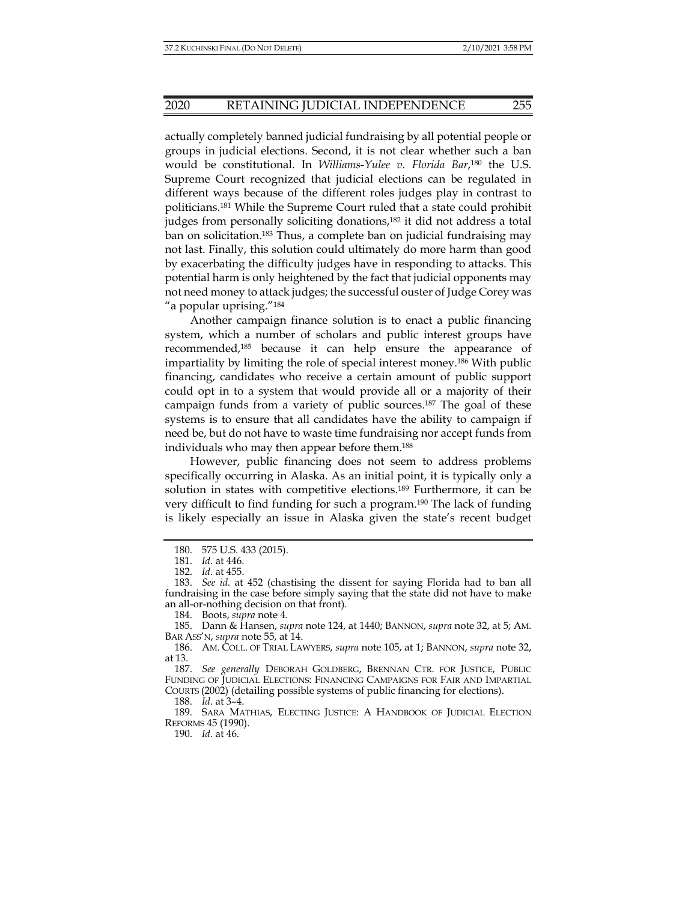actually completely banned judicial fundraising by all potential people or groups in judicial elections. Second, it is not clear whether such a ban would be constitutional. In *Williams-Yulee v. Florida Bar*, 180 the U.S. Supreme Court recognized that judicial elections can be regulated in different ways because of the different roles judges play in contrast to politicians.181 While the Supreme Court ruled that a state could prohibit judges from personally soliciting donations,<sup>182</sup> it did not address a total ban on solicitation.183 Thus, a complete ban on judicial fundraising may not last. Finally, this solution could ultimately do more harm than good by exacerbating the difficulty judges have in responding to attacks. This potential harm is only heightened by the fact that judicial opponents may not need money to attack judges; the successful ouster of Judge Corey was "a popular uprising."184

Another campaign finance solution is to enact a public financing system, which a number of scholars and public interest groups have recommended,185 because it can help ensure the appearance of impartiality by limiting the role of special interest money.186 With public financing, candidates who receive a certain amount of public support could opt in to a system that would provide all or a majority of their campaign funds from a variety of public sources.187 The goal of these systems is to ensure that all candidates have the ability to campaign if need be, but do not have to waste time fundraising nor accept funds from individuals who may then appear before them.188

However, public financing does not seem to address problems specifically occurring in Alaska. As an initial point, it is typically only a solution in states with competitive elections.189 Furthermore, it can be very difficult to find funding for such a program.190 The lack of funding is likely especially an issue in Alaska given the state's recent budget

184. Boots, *supra* note 4.

 187. *See generally* DEBORAH GOLDBERG, BRENNAN CTR. FOR JUSTICE, PUBLIC FUNDING OF JUDICIAL ELECTIONS: FINANCING CAMPAIGNS FOR FAIR AND IMPARTIAL COURTS (2002) (detailing possible systems of public financing for elections).

188. *Id.* at 3–4.

190. *Id.* at 46.

 <sup>180. 575</sup> U.S. 433 (2015).

 <sup>181.</sup> *Id.* at 446.

 <sup>182.</sup> *Id.* at 455.

 <sup>183.</sup> *See id.* at 452 (chastising the dissent for saying Florida had to ban all fundraising in the case before simply saying that the state did not have to make an all-or-nothing decision on that front).

 <sup>185.</sup> Dann & Hansen, *supra* note 124, at 1440; BANNON, *supra* note 32, at 5; AM. BAR ASS'N, *supra* note 55, at 14.

 <sup>186.</sup> AM. COLL. OF TRIAL LAWYERS, *supra* note 105, at 1; BANNON, *supra* note 32, at 13.

 <sup>189.</sup> SARA MATHIAS, ELECTING JUSTICE: A HANDBOOK OF JUDICIAL ELECTION REFORMS 45 (1990).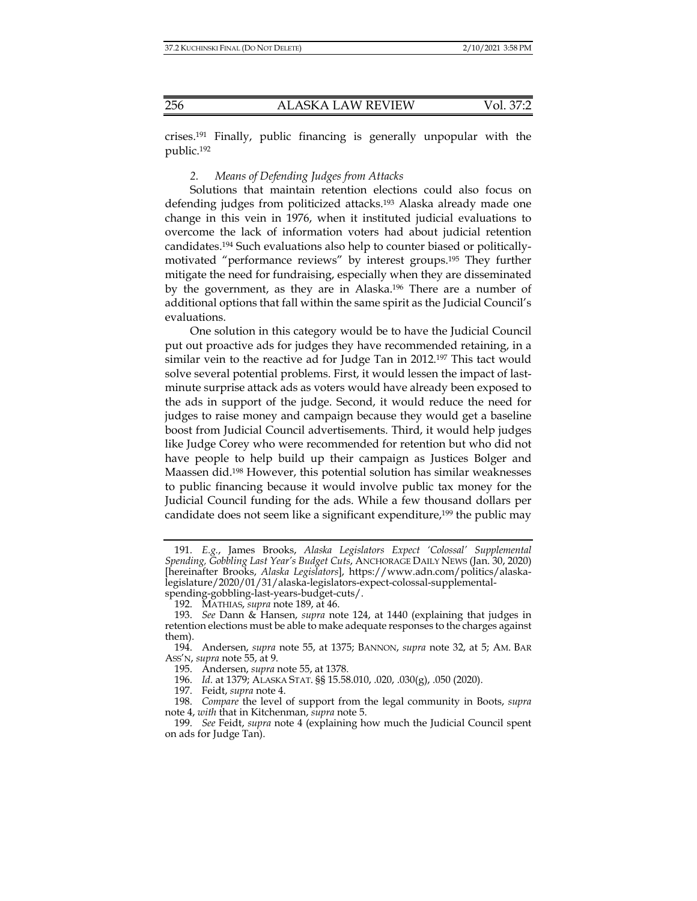crises.191 Finally, public financing is generally unpopular with the public.192

# *2. Means of Defending Judges from Attacks*

Solutions that maintain retention elections could also focus on defending judges from politicized attacks.<sup>193</sup> Alaska already made one change in this vein in 1976, when it instituted judicial evaluations to overcome the lack of information voters had about judicial retention candidates.194 Such evaluations also help to counter biased or politicallymotivated "performance reviews" by interest groups.195 They further mitigate the need for fundraising, especially when they are disseminated by the government, as they are in Alaska.196 There are a number of additional options that fall within the same spirit as the Judicial Council's evaluations.

One solution in this category would be to have the Judicial Council put out proactive ads for judges they have recommended retaining, in a similar vein to the reactive ad for Judge Tan in 2012.197 This tact would solve several potential problems. First, it would lessen the impact of lastminute surprise attack ads as voters would have already been exposed to the ads in support of the judge. Second, it would reduce the need for judges to raise money and campaign because they would get a baseline boost from Judicial Council advertisements. Third, it would help judges like Judge Corey who were recommended for retention but who did not have people to help build up their campaign as Justices Bolger and Maassen did.198 However, this potential solution has similar weaknesses to public financing because it would involve public tax money for the Judicial Council funding for the ads. While a few thousand dollars per candidate does not seem like a significant expenditure,<sup>199</sup> the public may

 <sup>191.</sup> *E.g.*, James Brooks, *Alaska Legislators Expect 'Colossal' Supplemental Spending, Gobbling Last Year's Budget Cuts*, ANCHORAGE DAILY NEWS (Jan. 30, 2020) [hereinafter Brooks, *Alaska Legislators*], https://www.adn.com/politics/alaskalegislature/2020/01/31/alaska-legislators-expect-colossal-supplementalspending-gobbling-last-years-budget-cuts/.

 <sup>192.</sup> MATHIAS, *supra* note 189, at 46.

 <sup>193.</sup> *See* Dann & Hansen, *supra* note 124, at 1440 (explaining that judges in retention elections must be able to make adequate responses to the charges against them).

 <sup>194.</sup> Andersen, *supra* note 55, at 1375; BANNON, *supra* note 32, at 5; AM. BAR ASS'N, *supra* note 55, at 9.

 <sup>195.</sup> Andersen, *supra* note 55, at 1378.

 <sup>196.</sup> *Id.* at 1379; ALASKA STAT. §§ 15.58.010, .020, .030(g), .050 (2020).

 <sup>197.</sup> Feidt, *supra* note 4.

 <sup>198.</sup> *Compare* the level of support from the legal community in Boots, *supra* note 4, *with* that in Kitchenman, *supra* note 5.

 <sup>199.</sup> *See* Feidt, *supra* note 4 (explaining how much the Judicial Council spent on ads for Judge Tan).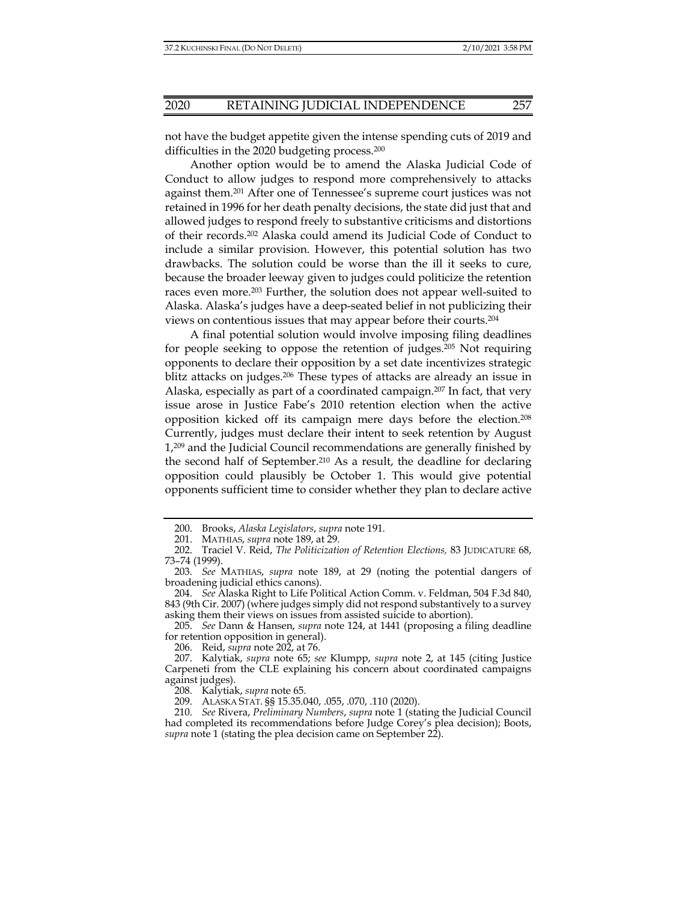not have the budget appetite given the intense spending cuts of 2019 and difficulties in the 2020 budgeting process.<sup>200</sup>

Another option would be to amend the Alaska Judicial Code of Conduct to allow judges to respond more comprehensively to attacks against them.201 After one of Tennessee's supreme court justices was not retained in 1996 for her death penalty decisions, the state did just that and allowed judges to respond freely to substantive criticisms and distortions of their records.202 Alaska could amend its Judicial Code of Conduct to include a similar provision. However, this potential solution has two drawbacks. The solution could be worse than the ill it seeks to cure, because the broader leeway given to judges could politicize the retention races even more.203 Further, the solution does not appear well-suited to Alaska. Alaska's judges have a deep-seated belief in not publicizing their views on contentious issues that may appear before their courts.204

A final potential solution would involve imposing filing deadlines for people seeking to oppose the retention of judges.205 Not requiring opponents to declare their opposition by a set date incentivizes strategic blitz attacks on judges.<sup>206</sup> These types of attacks are already an issue in Alaska, especially as part of a coordinated campaign.207 In fact, that very issue arose in Justice Fabe's 2010 retention election when the active opposition kicked off its campaign mere days before the election.208 Currently, judges must declare their intent to seek retention by August 1,209 and the Judicial Council recommendations are generally finished by the second half of September.210 As a result, the deadline for declaring opposition could plausibly be October 1. This would give potential opponents sufficient time to consider whether they plan to declare active

206. Reid, *supra* note 202, at 76.

 <sup>200.</sup> Brooks, *Alaska Legislators*, *supra* note 191.

 <sup>201.</sup> MATHIAS, *supra* note 189, at 29.

 <sup>202.</sup> Traciel V. Reid, *The Politicization of Retention Elections,* 83 JUDICATURE 68, 73–74 (1999).

 <sup>203.</sup> *See* MATHIAS, *supra* note 189, at 29 (noting the potential dangers of broadening judicial ethics canons).

 <sup>204.</sup> *See* Alaska Right to Life Political Action Comm. v. Feldman, 504 F.3d 840, 843 (9th Cir. 2007) (where judges simply did not respond substantively to a survey asking them their views on issues from assisted suicide to abortion).

 <sup>205.</sup> *See* Dann & Hansen, *supra* note 124, at 1441 (proposing a filing deadline for retention opposition in general).

 <sup>207.</sup> Kalytiak, *supra* note 65; *see* Klumpp, *supra* note 2, at 145 (citing Justice Carpeneti from the CLE explaining his concern about coordinated campaigns against judges).

 <sup>208.</sup> Kalytiak, *supra* note 65.

 <sup>209.</sup> ALASKA STAT. §§ 15.35.040, .055, .070, .110 (2020).

 <sup>210.</sup> *See* Rivera, *Preliminary Numbers*, *supra* note 1 (stating the Judicial Council had completed its recommendations before Judge Corey's plea decision); Boots, *supra* note 1 (stating the plea decision came on September 22).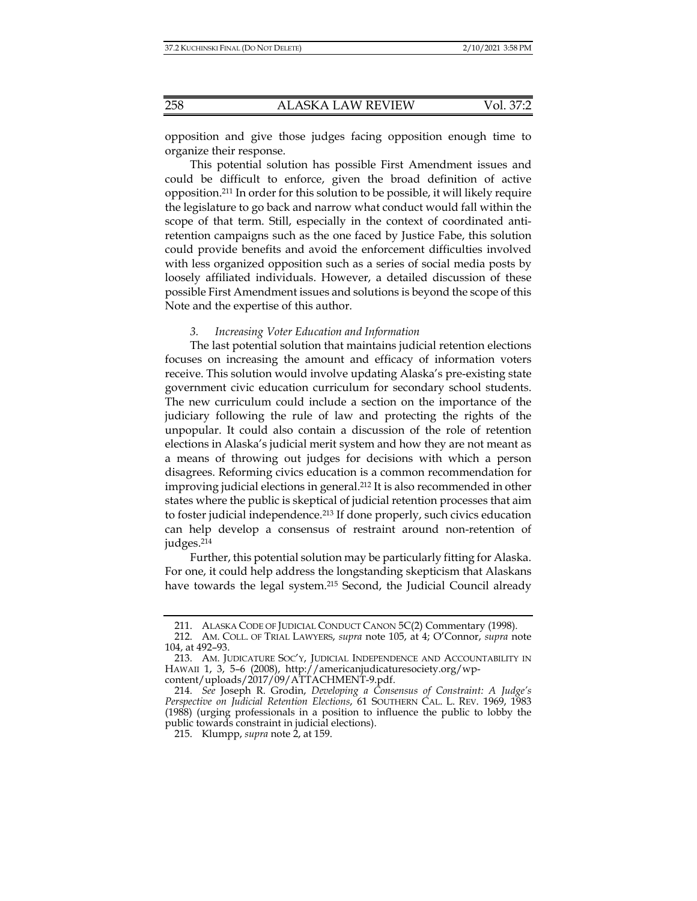opposition and give those judges facing opposition enough time to organize their response.

This potential solution has possible First Amendment issues and could be difficult to enforce, given the broad definition of active opposition.211 In order for this solution to be possible, it will likely require the legislature to go back and narrow what conduct would fall within the scope of that term. Still, especially in the context of coordinated antiretention campaigns such as the one faced by Justice Fabe, this solution could provide benefits and avoid the enforcement difficulties involved with less organized opposition such as a series of social media posts by loosely affiliated individuals. However, a detailed discussion of these possible First Amendment issues and solutions is beyond the scope of this Note and the expertise of this author.

## *3. Increasing Voter Education and Information*

The last potential solution that maintains judicial retention elections focuses on increasing the amount and efficacy of information voters receive. This solution would involve updating Alaska's pre-existing state government civic education curriculum for secondary school students. The new curriculum could include a section on the importance of the judiciary following the rule of law and protecting the rights of the unpopular. It could also contain a discussion of the role of retention elections in Alaska's judicial merit system and how they are not meant as a means of throwing out judges for decisions with which a person disagrees. Reforming civics education is a common recommendation for improving judicial elections in general.212 It is also recommended in other states where the public is skeptical of judicial retention processes that aim to foster judicial independence.213 If done properly, such civics education can help develop a consensus of restraint around non-retention of judges.214

Further, this potential solution may be particularly fitting for Alaska. For one, it could help address the longstanding skepticism that Alaskans have towards the legal system.<sup>215</sup> Second, the Judicial Council already

215. Klumpp, *supra* note 2, at 159.

 <sup>211.</sup> ALASKA CODE OF JUDICIAL CONDUCT CANON 5C(2) Commentary (1998).

 <sup>212.</sup> AM. COLL. OF TRIAL LAWYERS, *supra* note 105, at 4; O'Connor, *supra* note 104, at 492–93.

 <sup>213.</sup> AM. JUDICATURE SOC'Y, JUDICIAL INDEPENDENCE AND ACCOUNTABILITY IN HAWAII 1, 3, 5–6 (2008), http://americanjudicaturesociety.org/wpcontent/uploads/2017/09/ATTACHMENT-9.pdf.

 <sup>214.</sup> *See* Joseph R. Grodin, *Developing a Consensus of Constraint: A Judge's Perspective on Judicial Retention Elections*, 61 SOUTHERN CAL. L. REV. 1969, 1983 (1988) (urging professionals in a position to influence the public to lobby the public towards constraint in judicial elections).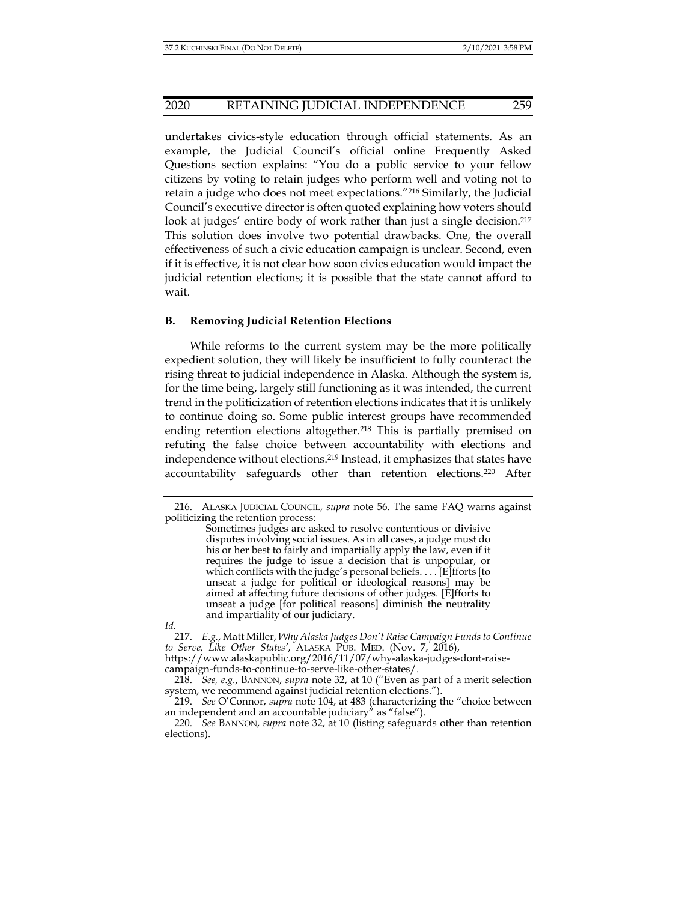## 2020 RETAINING JUDICIAL INDEPENDENCE 259

undertakes civics-style education through official statements. As an example, the Judicial Council's official online Frequently Asked Questions section explains: "You do a public service to your fellow citizens by voting to retain judges who perform well and voting not to retain a judge who does not meet expectations."216 Similarly, the Judicial Council's executive director is often quoted explaining how voters should look at judges' entire body of work rather than just a single decision.<sup>217</sup> This solution does involve two potential drawbacks. One, the overall effectiveness of such a civic education campaign is unclear. Second, even if it is effective, it is not clear how soon civics education would impact the judicial retention elections; it is possible that the state cannot afford to wait.

#### **B. Removing Judicial Retention Elections**

While reforms to the current system may be the more politically expedient solution, they will likely be insufficient to fully counteract the rising threat to judicial independence in Alaska. Although the system is, for the time being, largely still functioning as it was intended, the current trend in the politicization of retention elections indicates that it is unlikely to continue doing so. Some public interest groups have recommended ending retention elections altogether.<sup>218</sup> This is partially premised on refuting the false choice between accountability with elections and independence without elections.219 Instead, it emphasizes that states have accountability safeguards other than retention elections.220 After

*Id.*

 217. *E.g.*, Matt Miller, *Why Alaska Judges Don't Raise Campaign Funds to Continue to Serve, Like Other States'*, ALASKA PUB. MED. (Nov. 7, 2016),

https://www.alaskapublic.org/2016/11/07/why-alaska-judges-dont-raisecampaign-funds-to-continue-to-serve-like-other-states/.

 218. *See, e.g.*, BANNON, *supra* note 32, at 10 ("Even as part of a merit selection system, we recommend against judicial retention elections.").

 219. *See* O'Connor, *supra* note 104, at 483 (characterizing the "choice between an independent and an accountable judiciary" as "false").

 220. *See* BANNON, *supra* note 32, at 10 (listing safeguards other than retention elections).

 <sup>216.</sup> ALASKA JUDICIAL COUNCIL, *supra* note 56. The same FAQ warns against politicizing the retention process:

Sometimes judges are asked to resolve contentious or divisive disputes involving social issues. As in all cases, a judge must do his or her best to fairly and impartially apply the law, even if it requires the judge to issue a decision that is unpopular, or which conflicts with the judge's personal beliefs. . . . [E]fforts [to unseat a judge for political or ideological reasons] may be aimed at affecting future decisions of other judges. [E]fforts to unseat a judge [for political reasons] diminish the neutrality and impartiality of our judiciary.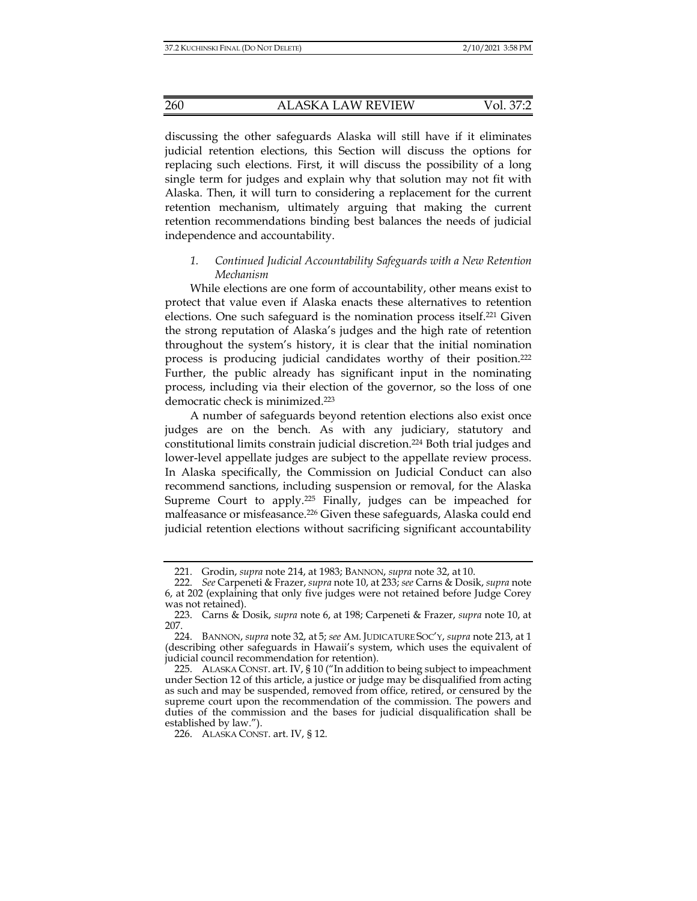discussing the other safeguards Alaska will still have if it eliminates judicial retention elections, this Section will discuss the options for replacing such elections. First, it will discuss the possibility of a long single term for judges and explain why that solution may not fit with Alaska. Then, it will turn to considering a replacement for the current retention mechanism, ultimately arguing that making the current retention recommendations binding best balances the needs of judicial independence and accountability.

# *1. Continued Judicial Accountability Safeguards with a New Retention Mechanism*

While elections are one form of accountability, other means exist to protect that value even if Alaska enacts these alternatives to retention elections. One such safeguard is the nomination process itself.221 Given the strong reputation of Alaska's judges and the high rate of retention throughout the system's history, it is clear that the initial nomination process is producing judicial candidates worthy of their position.222 Further, the public already has significant input in the nominating process, including via their election of the governor, so the loss of one democratic check is minimized.223

A number of safeguards beyond retention elections also exist once judges are on the bench. As with any judiciary, statutory and constitutional limits constrain judicial discretion.224 Both trial judges and lower-level appellate judges are subject to the appellate review process. In Alaska specifically, the Commission on Judicial Conduct can also recommend sanctions, including suspension or removal, for the Alaska Supreme Court to apply.225 Finally, judges can be impeached for malfeasance or misfeasance.<sup>226</sup> Given these safeguards, Alaska could end judicial retention elections without sacrificing significant accountability

 <sup>221.</sup> Grodin, *supra* note 214, at 1983; BANNON, *supra* note 32, at 10.

 <sup>222.</sup> *See* Carpeneti & Frazer, *supra* note 10, at 233; *see* Carns & Dosik, *supra* note 6, at 202 (explaining that only five judges were not retained before Judge Corey was not retained).

 <sup>223.</sup> Carns & Dosik, *supra* note 6, at 198; Carpeneti & Frazer, *supra* note 10, at 207.

 <sup>224.</sup> BANNON, *supra* note 32, at 5; *see* AM. JUDICATURE SOC'Y, *supra* note 213, at 1 (describing other safeguards in Hawaii's system, which uses the equivalent of judicial council recommendation for retention).

 <sup>225.</sup> ALASKA CONST. art. IV, § 10 ("In addition to being subject to impeachment under Section 12 of this article, a justice or judge may be disqualified from acting as such and may be suspended, removed from office, retired, or censured by the supreme court upon the recommendation of the commission. The powers and duties of the commission and the bases for judicial disqualification shall be established by law.").

 <sup>226.</sup> ALASKA CONST. art. IV, § 12.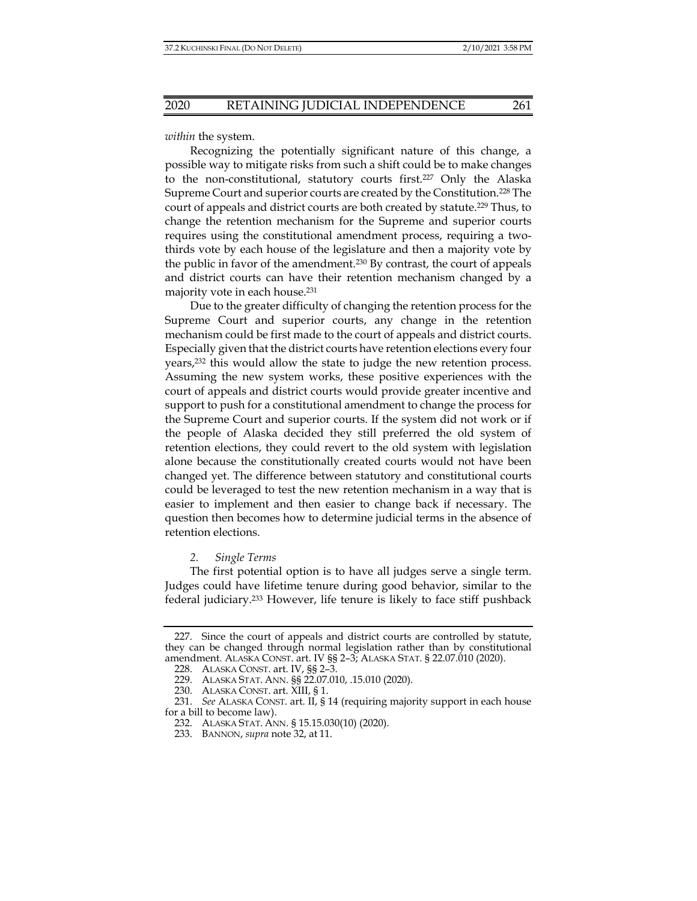*within* the system.

Recognizing the potentially significant nature of this change, a possible way to mitigate risks from such a shift could be to make changes to the non-constitutional, statutory courts first.227 Only the Alaska Supreme Court and superior courts are created by the Constitution.228 The court of appeals and district courts are both created by statute.229 Thus, to change the retention mechanism for the Supreme and superior courts requires using the constitutional amendment process, requiring a twothirds vote by each house of the legislature and then a majority vote by the public in favor of the amendment.230 By contrast, the court of appeals and district courts can have their retention mechanism changed by a majority vote in each house.231

Due to the greater difficulty of changing the retention process for the Supreme Court and superior courts, any change in the retention mechanism could be first made to the court of appeals and district courts. Especially given that the district courts have retention elections every four years,232 this would allow the state to judge the new retention process. Assuming the new system works, these positive experiences with the court of appeals and district courts would provide greater incentive and support to push for a constitutional amendment to change the process for the Supreme Court and superior courts. If the system did not work or if the people of Alaska decided they still preferred the old system of retention elections, they could revert to the old system with legislation alone because the constitutionally created courts would not have been changed yet. The difference between statutory and constitutional courts could be leveraged to test the new retention mechanism in a way that is easier to implement and then easier to change back if necessary. The question then becomes how to determine judicial terms in the absence of retention elections.

#### *2. Single Terms*

The first potential option is to have all judges serve a single term. Judges could have lifetime tenure during good behavior, similar to the federal judiciary.233 However, life tenure is likely to face stiff pushback

 <sup>227.</sup> Since the court of appeals and district courts are controlled by statute, they can be changed through normal legislation rather than by constitutional amendment. ALASKA CONST. art. IV §§ 2–3; ALASKA STAT. § 22.07.010 (2020).

 <sup>228.</sup> ALASKA CONST. art. IV, §§ 2–3.

 <sup>229.</sup> ALASKA STAT. ANN. §§ 22.07.010, .15.010 (2020).

 <sup>230.</sup> ALASKA CONST. art. XIII, § 1.

 <sup>231.</sup> *See* ALASKA CONST. art. II, § 14 (requiring majority support in each house for a bill to become law).

 <sup>232.</sup> ALASKA STAT. ANN. § 15.15.030(10) (2020).

 <sup>233.</sup> BANNON, *supra* note 32, at 11.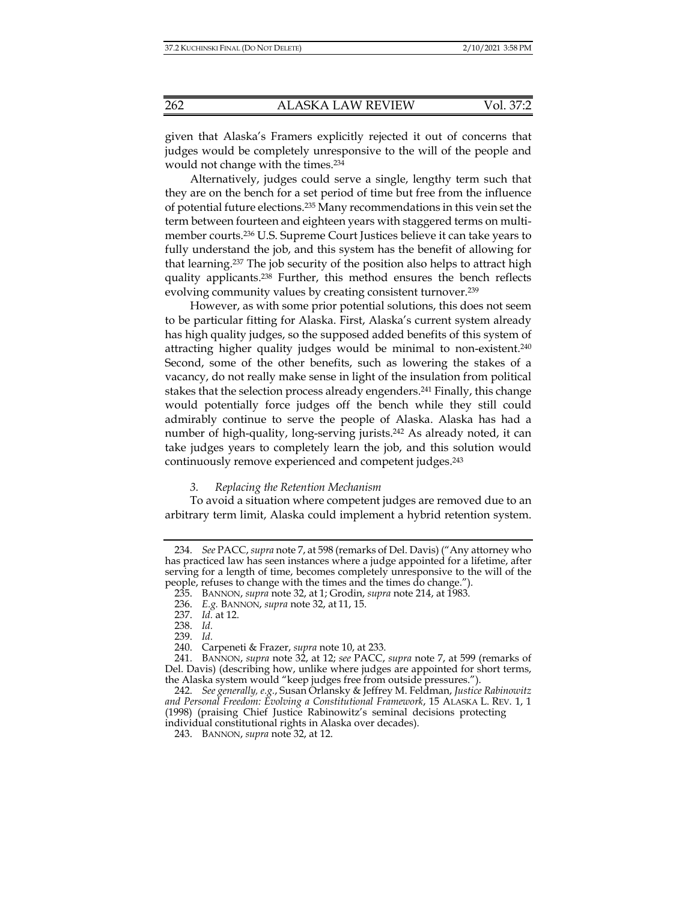given that Alaska's Framers explicitly rejected it out of concerns that judges would be completely unresponsive to the will of the people and would not change with the times.234

Alternatively, judges could serve a single, lengthy term such that they are on the bench for a set period of time but free from the influence of potential future elections.235 Many recommendations in this vein set the term between fourteen and eighteen years with staggered terms on multimember courts.236 U.S. Supreme Court Justices believe it can take years to fully understand the job, and this system has the benefit of allowing for that learning.237 The job security of the position also helps to attract high quality applicants.238 Further, this method ensures the bench reflects evolving community values by creating consistent turnover.239

However, as with some prior potential solutions, this does not seem to be particular fitting for Alaska. First, Alaska's current system already has high quality judges, so the supposed added benefits of this system of attracting higher quality judges would be minimal to non-existent.240 Second, some of the other benefits, such as lowering the stakes of a vacancy, do not really make sense in light of the insulation from political stakes that the selection process already engenders.241 Finally, this change would potentially force judges off the bench while they still could admirably continue to serve the people of Alaska. Alaska has had a number of high-quality, long-serving jurists.<sup>242</sup> As already noted, it can take judges years to completely learn the job, and this solution would continuously remove experienced and competent judges.243

# *3. Replacing the Retention Mechanism*

To avoid a situation where competent judges are removed due to an arbitrary term limit, Alaska could implement a hybrid retention system.

 <sup>234.</sup> *See* PACC, *supra* note 7, at 598 (remarks of Del. Davis) ("Any attorney who has practiced law has seen instances where a judge appointed for a lifetime, after serving for a length of time, becomes completely unresponsive to the will of the people, refuses to change with the times and the times do change.").

 <sup>235.</sup> BANNON, *supra* note 32, at 1; Grodin, *supra* note 214, at 1983.

 <sup>236.</sup> *E.g.* BANNON, *supra* note 32, at 11, 15.

 <sup>237.</sup> *Id.* at 12.

 <sup>238.</sup> *Id.*

 <sup>239.</sup> *Id.*

 <sup>240.</sup> Carpeneti & Frazer, *supra* note 10, at 233.

 <sup>241.</sup> BANNON, *supra* note 32, at 12; *see* PACC, *supra* note 7, at 599 (remarks of Del. Davis) (describing how, unlike where judges are appointed for short terms, the Alaska system would "keep judges free from outside pressures.").

 <sup>242.</sup> *See generally, e.g.*, Susan Orlansky & Jeffrey M. Feldman, *Justice Rabinowitz and Personal Freedom: Evolving a Constitutional Framework*, 15 ALASKA L. REV. 1, 1 (1998) (praising Chief Justice Rabinowitz's seminal decisions protecting individual constitutional rights in Alaska over decades).

 <sup>243.</sup> BANNON, *supra* note 32, at 12.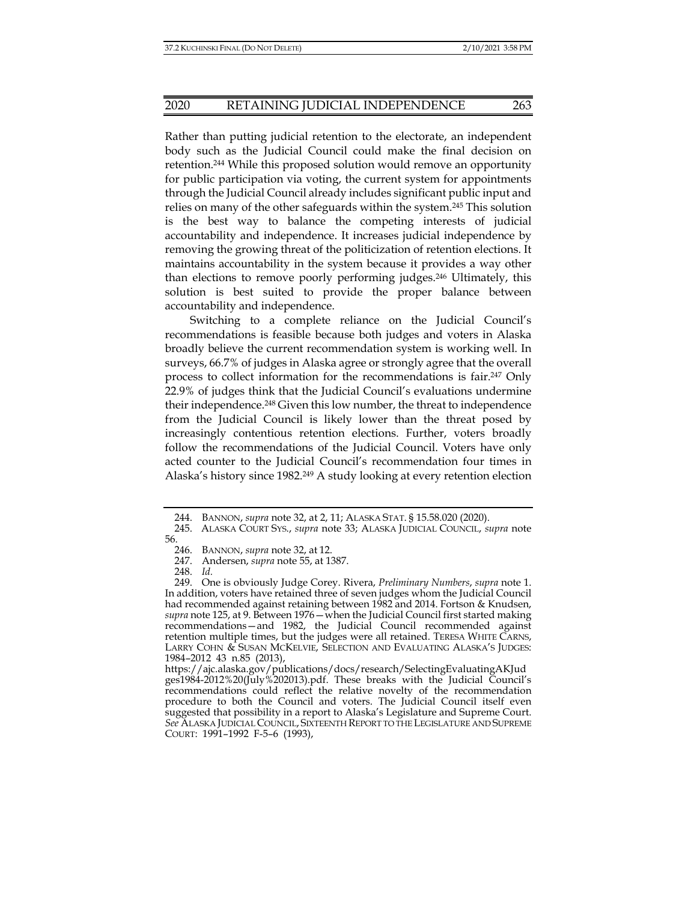## 2020 RETAINING JUDICIAL INDEPENDENCE 263

Rather than putting judicial retention to the electorate, an independent body such as the Judicial Council could make the final decision on retention.244 While this proposed solution would remove an opportunity for public participation via voting, the current system for appointments through the Judicial Council already includes significant public input and relies on many of the other safeguards within the system.245 This solution is the best way to balance the competing interests of judicial accountability and independence. It increases judicial independence by removing the growing threat of the politicization of retention elections. It maintains accountability in the system because it provides a way other than elections to remove poorly performing judges.246 Ultimately, this solution is best suited to provide the proper balance between accountability and independence.

Switching to a complete reliance on the Judicial Council's recommendations is feasible because both judges and voters in Alaska broadly believe the current recommendation system is working well. In surveys, 66.7% of judges in Alaska agree or strongly agree that the overall process to collect information for the recommendations is fair.247 Only 22.9% of judges think that the Judicial Council's evaluations undermine their independence.<sup>248</sup> Given this low number, the threat to independence from the Judicial Council is likely lower than the threat posed by increasingly contentious retention elections. Further, voters broadly follow the recommendations of the Judicial Council. Voters have only acted counter to the Judicial Council's recommendation four times in Alaska's history since 1982.<sup>249</sup> A study looking at every retention election

 <sup>244.</sup> BANNON, *supra* note 32, at 2, 11; ALASKA STAT. § 15.58.020 (2020).

 <sup>245.</sup> ALASKA COURT SYS., *supra* note 33; ALASKA JUDICIAL COUNCIL, *supra* note 56.

 <sup>246.</sup> BANNON, *supra* note 32, at 12.

 <sup>247.</sup> Andersen, *supra* note 55, at 1387.

 <sup>248.</sup> *Id.*

 <sup>249.</sup> One is obviously Judge Corey. Rivera, *Preliminary Numbers*, *supra* note 1. In addition, voters have retained three of seven judges whom the Judicial Council had recommended against retaining between 1982 and 2014. Fortson & Knudsen, *supra* note 125, at 9. Between 1976—when the Judicial Council first started making recommendations—and 1982, the Judicial Council recommended against retention multiple times, but the judges were all retained. TERESA WHITE CARNS, LARRY COHN & SUSAN MCKELVIE, SELECTION AND EVALUATING ALASKA'S JUDGES: 1984–2012 43 n.85 (2013),

https://ajc.alaska.gov/publications/docs/research/SelectingEvaluatingAKJud ges1984-2012%20(July%202013).pdf. These breaks with the Judicial Council's recommendations could reflect the relative novelty of the recommendation procedure to both the Council and voters. The Judicial Council itself even suggested that possibility in a report to Alaska's Legislature and Supreme Court. *See* ALASKA JUDICIAL COUNCIL, SIXTEENTH REPORT TO THE LEGISLATURE AND SUPREME COURT: 1991–1992 F-5–6 (1993),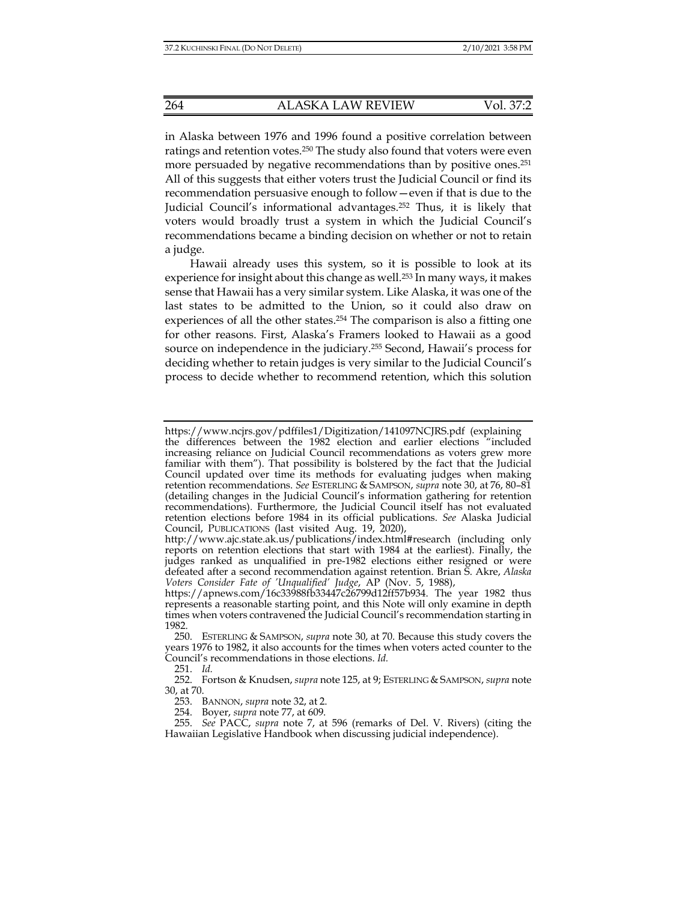in Alaska between 1976 and 1996 found a positive correlation between ratings and retention votes.250 The study also found that voters were even more persuaded by negative recommendations than by positive ones.<sup>251</sup> All of this suggests that either voters trust the Judicial Council or find its recommendation persuasive enough to follow—even if that is due to the Judicial Council's informational advantages.252 Thus, it is likely that voters would broadly trust a system in which the Judicial Council's recommendations became a binding decision on whether or not to retain a judge.

Hawaii already uses this system, so it is possible to look at its experience for insight about this change as well.<sup>253</sup> In many ways, it makes sense that Hawaii has a very similar system. Like Alaska, it was one of the last states to be admitted to the Union, so it could also draw on experiences of all the other states.<sup>254</sup> The comparison is also a fitting one for other reasons. First, Alaska's Framers looked to Hawaii as a good source on independence in the judiciary.255 Second, Hawaii's process for deciding whether to retain judges is very similar to the Judicial Council's process to decide whether to recommend retention, which this solution

251. *Id.*

253. BANNON, *supra* note 32, at 2.

254. Boyer, *supra* note 77, at 609.

https://www.ncjrs.gov/pdffiles1/Digitization/141097NCJRS.pdf (explaining the differences between the 1982 election and earlier elections "included increasing reliance on Judicial Council recommendations as voters grew more familiar with them"). That possibility is bolstered by the fact that the Judicial Council updated over time its methods for evaluating judges when making retention recommendations. *See* ESTERLING & SAMPSON, *supra* note 30, at 76, 80–81 (detailing changes in the Judicial Council's information gathering for retention recommendations). Furthermore, the Judicial Council itself has not evaluated retention elections before 1984 in its official publications. *See* Alaska Judicial Council, PUBLICATIONS (last visited Aug. 19, 2020),

http://www.ajc.state.ak.us/publications/index.html#research (including only reports on retention elections that start with 1984 at the earliest). Finally, the judges ranked as unqualified in pre-1982 elections either resigned or were defeated after a second recommendation against retention. Brian S. Akre, *Alaska Voters Consider Fate of 'Unqualified' Judge*, AP (Nov. 5, 1988),

https://apnews.com/16c33988fb33447c26799d12ff57b934. The year 1982 thus represents a reasonable starting point, and this Note will only examine in depth times when voters contravened the Judicial Council's recommendation starting in 1982.

 <sup>250.</sup> ESTERLING & SAMPSON, *supra* note 30, at 70. Because this study covers the years 1976 to 1982, it also accounts for the times when voters acted counter to the Council's recommendations in those elections. *Id.*

 <sup>252.</sup> Fortson & Knudsen, *supra* note 125, at 9; ESTERLING & SAMPSON, *supra* note 30, at 70.

 <sup>255.</sup> *See* PACC, *supra* note 7, at 596 (remarks of Del. V. Rivers) (citing the Hawaiian Legislative Handbook when discussing judicial independence).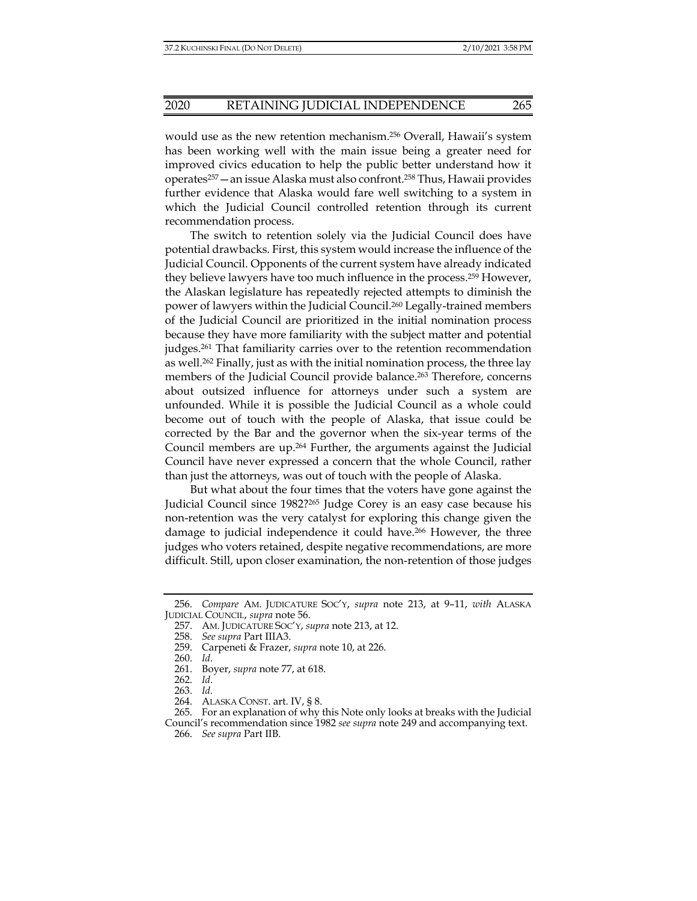would use as the new retention mechanism.256 Overall, Hawaii's system has been working well with the main issue being a greater need for improved civics education to help the public better understand how it operates257—an issue Alaska must also confront.258 Thus, Hawaii provides further evidence that Alaska would fare well switching to a system in which the Judicial Council controlled retention through its current recommendation process.

The switch to retention solely via the Judicial Council does have potential drawbacks. First, this system would increase the influence of the Judicial Council. Opponents of the current system have already indicated they believe lawyers have too much influence in the process.259 However, the Alaskan legislature has repeatedly rejected attempts to diminish the power of lawyers within the Judicial Council.260 Legally-trained members of the Judicial Council are prioritized in the initial nomination process because they have more familiarity with the subject matter and potential judges.261 That familiarity carries over to the retention recommendation as well.<sup>262</sup> Finally, just as with the initial nomination process, the three lay members of the Judicial Council provide balance.<sup>263</sup> Therefore, concerns about outsized influence for attorneys under such a system are unfounded. While it is possible the Judicial Council as a whole could become out of touch with the people of Alaska, that issue could be corrected by the Bar and the governor when the six-year terms of the Council members are up.264 Further, the arguments against the Judicial Council have never expressed a concern that the whole Council, rather than just the attorneys, was out of touch with the people of Alaska.

But what about the four times that the voters have gone against the Judicial Council since 1982?265 Judge Corey is an easy case because his non-retention was the very catalyst for exploring this change given the damage to judicial independence it could have.266 However, the three judges who voters retained, despite negative recommendations, are more difficult. Still, upon closer examination, the non-retention of those judges

 <sup>256.</sup> *Compare* AM. JUDICATURE SOC'Y, *supra* note 213, at 9–11, *with* ALASKA JUDICIAL COUNCIL, *supra* note 56.

 <sup>257.</sup> AM. JUDICATURE SOC'Y, *supra* note 213, at 12.

 <sup>258.</sup> *See supra* Part IIIA3.

 <sup>259.</sup> Carpeneti & Frazer, *supra* note 10, at 226.

 <sup>260.</sup> *Id.*

 <sup>261.</sup> Boyer, *supra* note 77, at 618.

 <sup>262.</sup> *Id.*

 <sup>263.</sup> *Id.*

 <sup>264.</sup> ALASKA CONST. art. IV, § 8.

 <sup>265.</sup> For an explanation of why this Note only looks at breaks with the Judicial Council's recommendation since 1982 *see supra* note 249 and accompanying text.

 <sup>266.</sup> *See supra* Part IIB.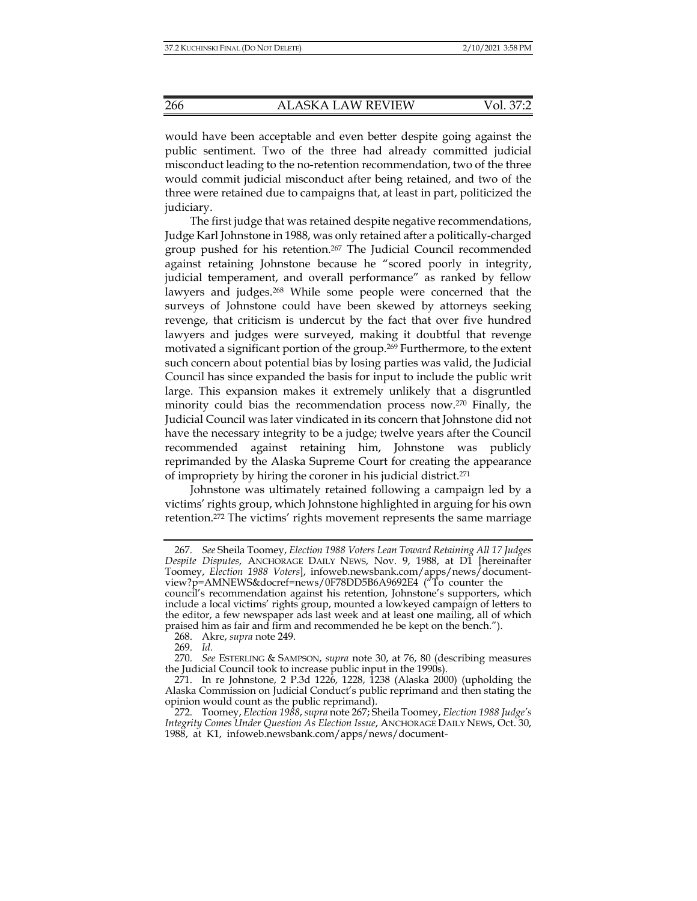would have been acceptable and even better despite going against the public sentiment. Two of the three had already committed judicial misconduct leading to the no-retention recommendation, two of the three would commit judicial misconduct after being retained, and two of the three were retained due to campaigns that, at least in part, politicized the judiciary.

The first judge that was retained despite negative recommendations, Judge Karl Johnstone in 1988, was only retained after a politically-charged group pushed for his retention.267 The Judicial Council recommended against retaining Johnstone because he "scored poorly in integrity, judicial temperament, and overall performance" as ranked by fellow lawyers and judges.268 While some people were concerned that the surveys of Johnstone could have been skewed by attorneys seeking revenge, that criticism is undercut by the fact that over five hundred lawyers and judges were surveyed, making it doubtful that revenge motivated a significant portion of the group.269 Furthermore, to the extent such concern about potential bias by losing parties was valid, the Judicial Council has since expanded the basis for input to include the public writ large. This expansion makes it extremely unlikely that a disgruntled minority could bias the recommendation process now.270 Finally, the Judicial Council was later vindicated in its concern that Johnstone did not have the necessary integrity to be a judge; twelve years after the Council recommended against retaining him, Johnstone was publicly reprimanded by the Alaska Supreme Court for creating the appearance of impropriety by hiring the coroner in his judicial district.271

Johnstone was ultimately retained following a campaign led by a victims' rights group, which Johnstone highlighted in arguing for his own retention.272 The victims' rights movement represents the same marriage

 <sup>267.</sup> *See* Sheila Toomey, *Election 1988 Voters Lean Toward Retaining All 17 Judges Despite Disputes*, ANCHORAGE DAILY NEWS, Nov. 9, 1988, at D1 [hereinafter Toomey, *Election 1988 Voters*], infoweb.newsbank.com/apps/news/documentview?p=AMNEWS&docref=news/0F78DD5B6A9692E4 ("To counter the council's recommendation against his retention, Johnstone's supporters, which include a local victims' rights group, mounted a lowkeyed campaign of letters to the editor, a few newspaper ads last week and at least one mailing, all of which

praised him as fair and firm and recommended he be kept on the bench.").

 <sup>268.</sup> Akre, *supra* note 249.

 <sup>269.</sup> *Id.*

 <sup>270.</sup> *See* ESTERLING & SAMPSON, *supra* note 30, at 76, 80 (describing measures the Judicial Council took to increase public input in the 1990s).

 <sup>271.</sup> In re Johnstone, 2 P.3d 1226, 1228, 1238 (Alaska 2000) (upholding the Alaska Commission on Judicial Conduct's public reprimand and then stating the opinion would count as the public reprimand).

 <sup>272.</sup> Toomey, *Election 1988*, *supra* note 267; Sheila Toomey, *Election 1988 Judge's Integrity Comes Under Question As Election Issue*, ANCHORAGE DAILY NEWS, Oct. 30, 1988, at K1, infoweb.newsbank.com/apps/news/document-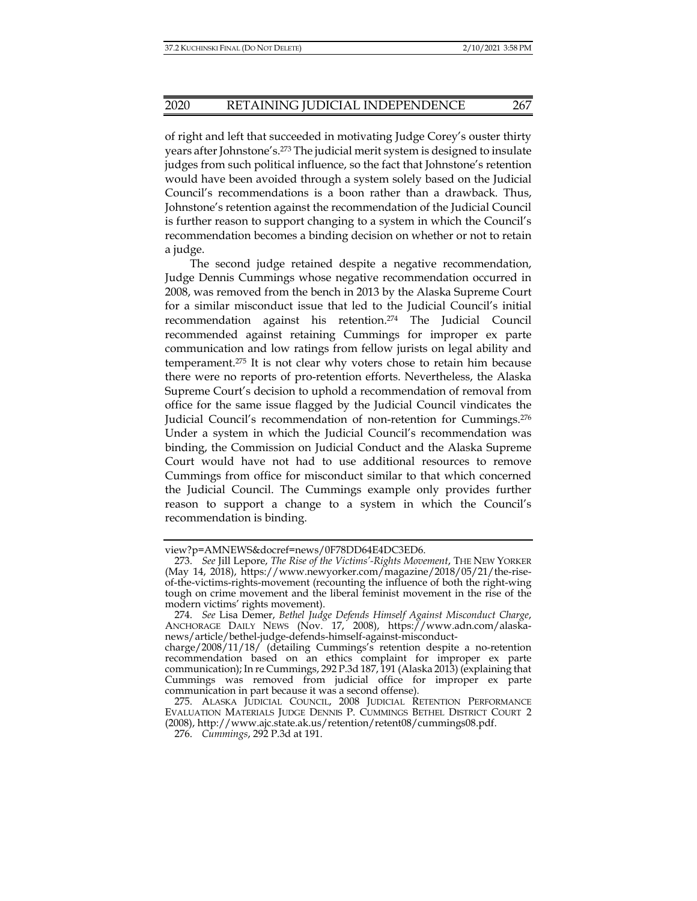of right and left that succeeded in motivating Judge Corey's ouster thirty years after Johnstone's.273 The judicial merit system is designed to insulate judges from such political influence, so the fact that Johnstone's retention would have been avoided through a system solely based on the Judicial Council's recommendations is a boon rather than a drawback. Thus, Johnstone's retention against the recommendation of the Judicial Council is further reason to support changing to a system in which the Council's recommendation becomes a binding decision on whether or not to retain a judge.

The second judge retained despite a negative recommendation, Judge Dennis Cummings whose negative recommendation occurred in 2008, was removed from the bench in 2013 by the Alaska Supreme Court for a similar misconduct issue that led to the Judicial Council's initial recommendation against his retention.274 The Judicial Council recommended against retaining Cummings for improper ex parte communication and low ratings from fellow jurists on legal ability and temperament.275 It is not clear why voters chose to retain him because there were no reports of pro-retention efforts. Nevertheless, the Alaska Supreme Court's decision to uphold a recommendation of removal from office for the same issue flagged by the Judicial Council vindicates the Judicial Council's recommendation of non-retention for Cummings.<sup>276</sup> Under a system in which the Judicial Council's recommendation was binding, the Commission on Judicial Conduct and the Alaska Supreme Court would have not had to use additional resources to remove Cummings from office for misconduct similar to that which concerned the Judicial Council. The Cummings example only provides further reason to support a change to a system in which the Council's recommendation is binding.

view?p=AMNEWS&docref=news/0F78DD64E4DC3ED6.

 <sup>273.</sup> *See* Jill Lepore, *The Rise of the Victims'-Rights Movement*, THE NEW YORKER (May 14, 2018), https://www.newyorker.com/magazine/2018/05/21/the-riseof-the-victims-rights-movement (recounting the influence of both the right-wing tough on crime movement and the liberal feminist movement in the rise of the modern victims' rights movement).

 <sup>274.</sup> *See* Lisa Demer, *Bethel Judge Defends Himself Against Misconduct Charge*, ANCHORAGE DAILY NEWS (Nov. 17, 2008), https://www.adn.com/alaskanews/article/bethel-judge-defends-himself-against-misconduct-

charge/2008/11/18/ (detailing Cummings's retention despite a no-retention recommendation based on an ethics complaint for improper ex parte communication); In re Cummings, 292 P.3d 187, 191 (Alaska 2013) (explaining that Cummings was removed from judicial office for improper ex parte communication in part because it was a second offense).

 <sup>275.</sup> ALASKA JUDICIAL COUNCIL, 2008 JUDICIAL RETENTION PERFORMANCE EVALUATION MATERIALS JUDGE DENNIS P. CUMMINGS BETHEL DISTRICT COURT 2 (2008), http://www.ajc.state.ak.us/retention/retent08/cummings08.pdf.

 <sup>276.</sup> *Cummings*, 292 P.3d at 191.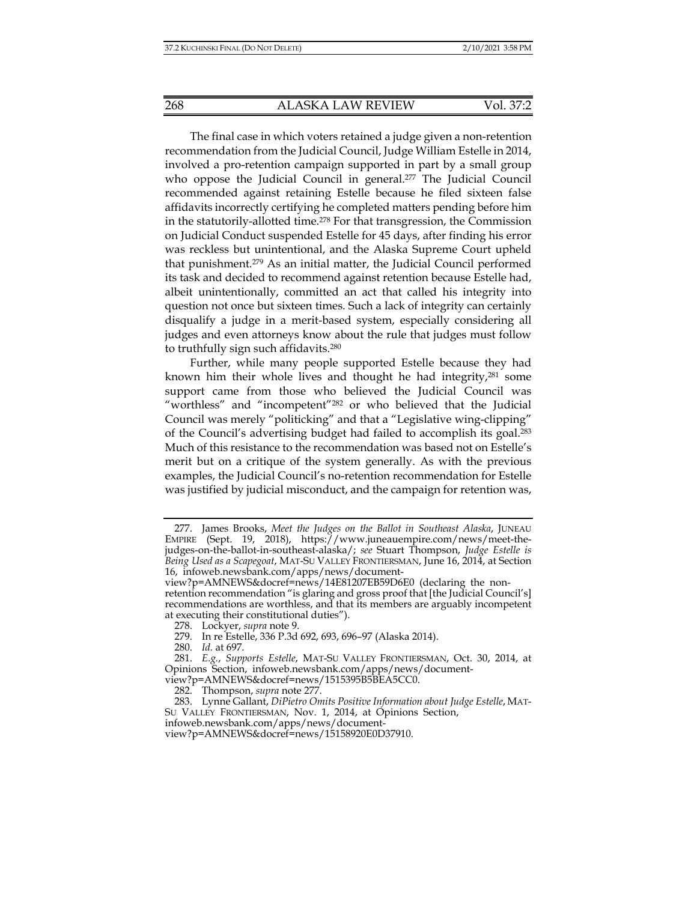The final case in which voters retained a judge given a non-retention recommendation from the Judicial Council, Judge William Estelle in 2014, involved a pro-retention campaign supported in part by a small group who oppose the Judicial Council in general.<sup>277</sup> The Judicial Council recommended against retaining Estelle because he filed sixteen false affidavits incorrectly certifying he completed matters pending before him in the statutorily-allotted time.278 For that transgression, the Commission on Judicial Conduct suspended Estelle for 45 days, after finding his error was reckless but unintentional, and the Alaska Supreme Court upheld that punishment.279 As an initial matter, the Judicial Council performed its task and decided to recommend against retention because Estelle had, albeit unintentionally, committed an act that called his integrity into question not once but sixteen times. Such a lack of integrity can certainly disqualify a judge in a merit-based system, especially considering all judges and even attorneys know about the rule that judges must follow to truthfully sign such affidavits.280

Further, while many people supported Estelle because they had known him their whole lives and thought he had integrity,<sup>281</sup> some support came from those who believed the Judicial Council was "worthless" and "incompetent"282 or who believed that the Judicial Council was merely "politicking" and that a "Legislative wing-clipping" of the Council's advertising budget had failed to accomplish its goal.283 Much of this resistance to the recommendation was based not on Estelle's merit but on a critique of the system generally. As with the previous examples, the Judicial Council's no-retention recommendation for Estelle was justified by judicial misconduct, and the campaign for retention was,

 <sup>277.</sup> James Brooks, *Meet the Judges on the Ballot in Southeast Alaska*, JUNEAU EMPIRE (Sept. 19, 2018), https://www.juneauempire.com/news/meet-thejudges-on-the-ballot-in-southeast-alaska/; *see* Stuart Thompson, *Judge Estelle is Being Used as a Scapegoat*, MAT-SU VALLEY FRONTIERSMAN, June 16, 2014, at Section 16, infoweb.newsbank.com/apps/news/document-

view?p=AMNEWS&docref=news/14E81207EB59D6E0 (declaring the nonretention recommendation "is glaring and gross proof that [the Judicial Council's] recommendations are worthless, and that its members are arguably incompetent at executing their constitutional duties").

 <sup>278.</sup> Lockyer, *supra* note 9.

 <sup>279.</sup> In re Estelle, 336 P.3d 692, 693, 696–97 (Alaska 2014).

 <sup>280.</sup> *Id.* at 697.

 <sup>281.</sup> *E.g.*, *Supports Estelle*, MAT-SU VALLEY FRONTIERSMAN, Oct. 30, 2014, at Opinions Section, infoweb.newsbank.com/apps/news/documentview?p=AMNEWS&docref=news/1515395B5BEA5CC0.

 <sup>282.</sup> Thompson, *supra* note 277.

 <sup>283.</sup> Lynne Gallant, *DiPietro Omits Positive Information about Judge Estelle*, MAT-SU VALLEY FRONTIERSMAN, Nov. 1, 2014, at Opinions Section,

infoweb.newsbank.com/apps/news/document-

view?p=AMNEWS&docref=news/15158920E0D37910.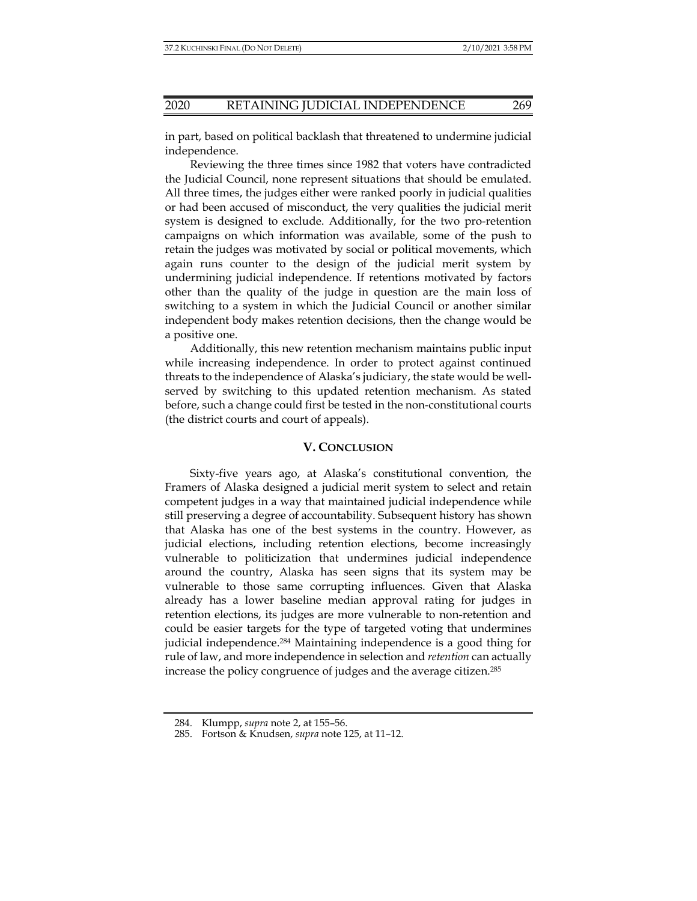in part, based on political backlash that threatened to undermine judicial independence.

Reviewing the three times since 1982 that voters have contradicted the Judicial Council, none represent situations that should be emulated. All three times, the judges either were ranked poorly in judicial qualities or had been accused of misconduct, the very qualities the judicial merit system is designed to exclude. Additionally, for the two pro-retention campaigns on which information was available, some of the push to retain the judges was motivated by social or political movements, which again runs counter to the design of the judicial merit system by undermining judicial independence. If retentions motivated by factors other than the quality of the judge in question are the main loss of switching to a system in which the Judicial Council or another similar independent body makes retention decisions, then the change would be a positive one.

Additionally, this new retention mechanism maintains public input while increasing independence. In order to protect against continued threats to the independence of Alaska's judiciary, the state would be wellserved by switching to this updated retention mechanism. As stated before, such a change could first be tested in the non-constitutional courts (the district courts and court of appeals).

# **V. CONCLUSION**

Sixty-five years ago, at Alaska's constitutional convention, the Framers of Alaska designed a judicial merit system to select and retain competent judges in a way that maintained judicial independence while still preserving a degree of accountability. Subsequent history has shown that Alaska has one of the best systems in the country. However, as judicial elections, including retention elections, become increasingly vulnerable to politicization that undermines judicial independence around the country, Alaska has seen signs that its system may be vulnerable to those same corrupting influences. Given that Alaska already has a lower baseline median approval rating for judges in retention elections, its judges are more vulnerable to non-retention and could be easier targets for the type of targeted voting that undermines judicial independence.284 Maintaining independence is a good thing for rule of law, and more independence in selection and *retention* can actually increase the policy congruence of judges and the average citizen.285

 <sup>284.</sup> Klumpp, *supra* note 2, at 155–56.

 <sup>285.</sup> Fortson & Knudsen, *supra* note 125, at 11–12.